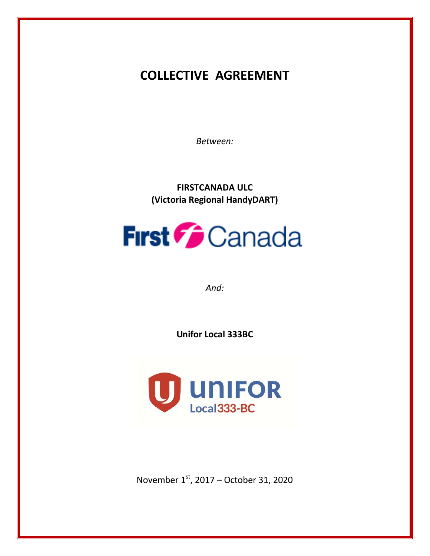# **COLLECTIVE AGREEMENT**

*Between:*

**FIRSTCANADA ULC (Victoria Regional HandyDART)**

# **First Canada**

*And:*

**Unifor Local 333BC**



November  $1<sup>st</sup>$ , 2017 – October 31, 2020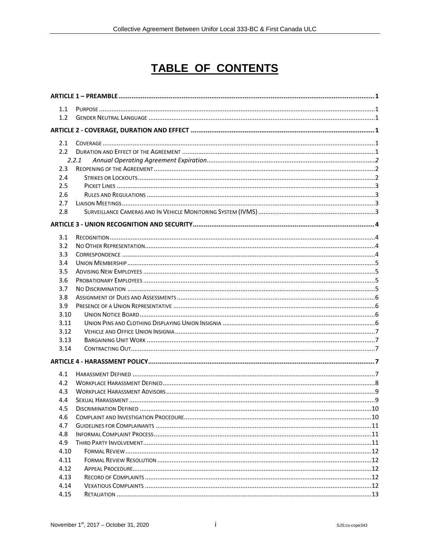# **TABLE OF CONTENTS**

| 1.1           |       |  |
|---------------|-------|--|
| 1.2           |       |  |
|               |       |  |
| 2.1           |       |  |
| $2.2^{\circ}$ |       |  |
|               | 2.2.1 |  |
| 2.3           |       |  |
| 2.4           |       |  |
| 2.5           |       |  |
| 2.6           |       |  |
| 2.7           |       |  |
| 2.8           |       |  |
|               |       |  |
| 3.1           |       |  |
| 3.2           |       |  |
| 3.3           |       |  |
| 3.4           |       |  |
| 3.5           |       |  |
| 3.6           |       |  |
| 3.7           |       |  |
| 3.8           |       |  |
| 3.9           |       |  |
| 3.10          |       |  |
| 3.11          |       |  |
| 3.12          |       |  |
| 3.13          |       |  |
| 3.14          |       |  |
|               |       |  |
| 4.1           |       |  |
| 4.2           |       |  |
| 4.3           |       |  |
| 4.4           |       |  |
| 4.5           |       |  |
| 4.6           |       |  |
| 4.7           |       |  |
| 4.8           |       |  |
| 4.9           |       |  |
| 4.10          |       |  |
| 4.11          |       |  |
| 4.12          |       |  |
| 4.13          |       |  |
| 4.14          |       |  |
| 4.15          |       |  |
|               |       |  |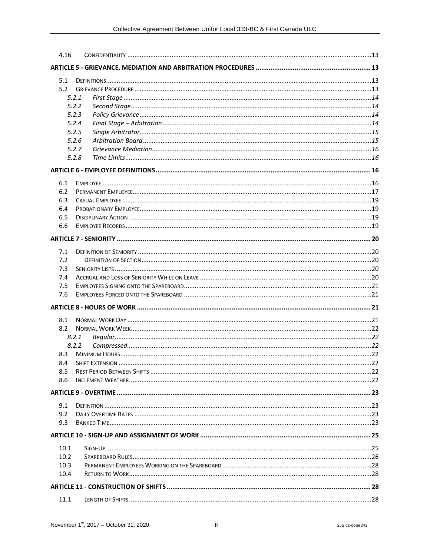| 4.16 |       |  |
|------|-------|--|
|      |       |  |
| 5.1  |       |  |
| 5.2  |       |  |
|      | 5.2.1 |  |
|      | 5.2.2 |  |
|      | 5.2.3 |  |
|      | 5.2.4 |  |
|      | 5.2.5 |  |
|      | 5.2.6 |  |
|      | 5.2.7 |  |
|      | 5.2.8 |  |
|      |       |  |
| 6.1  |       |  |
| 6.2  |       |  |
| 6.3  |       |  |
| 6.4  |       |  |
| 6.5  |       |  |
| 6.6  |       |  |
|      |       |  |
|      |       |  |
| 7.1  |       |  |
| 7.2  |       |  |
| 7.3  |       |  |
| 7.4  |       |  |
| 7.5  |       |  |
| 7.6  |       |  |
|      |       |  |
| 8.1  |       |  |
| 8.2  |       |  |
|      | 8.2.1 |  |
|      | 8.2.2 |  |
| 8.3  |       |  |
| 8.4  |       |  |
| 8.5  |       |  |
| 8.6  |       |  |
|      |       |  |
| 9.1  |       |  |
| 9.2  |       |  |
| 9.3  |       |  |
|      |       |  |
|      |       |  |
| 10.1 |       |  |
| 10.2 |       |  |
| 10.3 |       |  |
| 10.4 |       |  |
|      |       |  |
| 11.1 |       |  |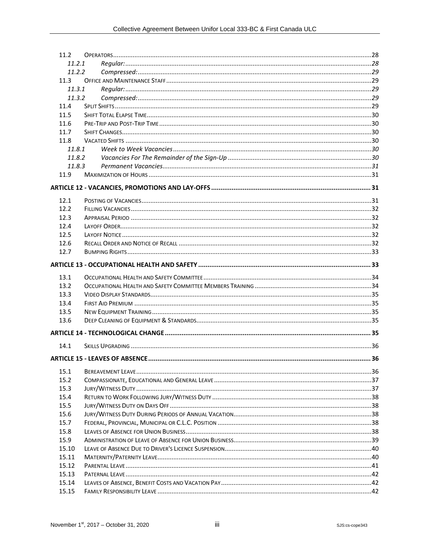| 11.2.1         |  |  |
|----------------|--|--|
| 11.2.2         |  |  |
| 11.3           |  |  |
| 11.3.1         |  |  |
| 11.3.2         |  |  |
| 11.4           |  |  |
| 11.5           |  |  |
| 11.6           |  |  |
| 11.7           |  |  |
| 11.8           |  |  |
| 11.8.1         |  |  |
| 11.8.2         |  |  |
| 11.8.3         |  |  |
| 11.9           |  |  |
|                |  |  |
| 12.1           |  |  |
| 12.2           |  |  |
| 12.3           |  |  |
| 12.4           |  |  |
| 12.5           |  |  |
| 12.6           |  |  |
| 12.7           |  |  |
|                |  |  |
| 13.1           |  |  |
|                |  |  |
|                |  |  |
| 13.2           |  |  |
| 13.3<br>13.4   |  |  |
| 13.5           |  |  |
| 13.6           |  |  |
|                |  |  |
| 14.1           |  |  |
|                |  |  |
|                |  |  |
| 15.1           |  |  |
| 15.2           |  |  |
| 15.3           |  |  |
| 15.4           |  |  |
| 15.5           |  |  |
| 15.6           |  |  |
| 15.7           |  |  |
| 15.8           |  |  |
| 15.9           |  |  |
| 15.10          |  |  |
| 15.11          |  |  |
| 15.12<br>15.13 |  |  |
| 15.14          |  |  |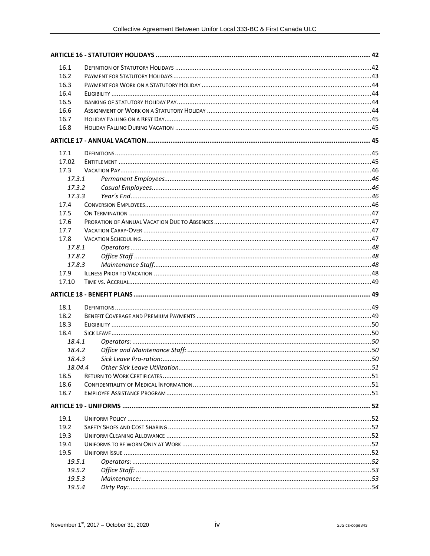| 16.1   |  |
|--------|--|
| 16.2   |  |
| 16.3   |  |
| 16.4   |  |
| 16.5   |  |
| 16.6   |  |
| 16.7   |  |
| 16.8   |  |
|        |  |
| 17.1   |  |
| 17.02  |  |
| 17.3   |  |
| 17.3.1 |  |
| 17.3.2 |  |
| 17.3.3 |  |
| 17.4   |  |
| 17.5   |  |
| 17.6   |  |
| 17.7   |  |
| 17.8   |  |
| 17.8.1 |  |
| 17.8.2 |  |
| 17.8.3 |  |
| 17.9   |  |
| 17.10  |  |
|        |  |
|        |  |
| 18.1   |  |
| 18.2   |  |
| 18.3   |  |
| 18.4   |  |
| 18.4.1 |  |
| 18.4.2 |  |
| 18.4.3 |  |
|        |  |
| 18.5   |  |
| 18.6   |  |
| 18.7   |  |
|        |  |
| 19.1   |  |
| 19.2   |  |
| 19.3   |  |
| 19.4   |  |
| 19.5   |  |
| 19.5.1 |  |
| 19.5.2 |  |
| 19.5.3 |  |
| 19.5.4 |  |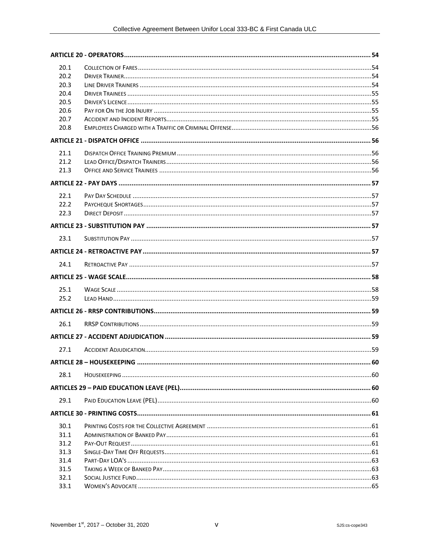| 20.1         |  |
|--------------|--|
| 20.2         |  |
| 20.3         |  |
| 20.4         |  |
| 20.5         |  |
| 20.6         |  |
| 20.7         |  |
| 20.8         |  |
|              |  |
| 21.1         |  |
| 21.2         |  |
| 21.3         |  |
|              |  |
| 22.1         |  |
| 22.2         |  |
| 22.3         |  |
|              |  |
| 23.1         |  |
|              |  |
| 24.1         |  |
|              |  |
|              |  |
| 25.1         |  |
| 25.2         |  |
|              |  |
|              |  |
| 26.1         |  |
|              |  |
| 27.1         |  |
|              |  |
| 28.1         |  |
|              |  |
|              |  |
| 29.1         |  |
|              |  |
| 30.1         |  |
| 31.1         |  |
| 31.2         |  |
| 31.3         |  |
| 31.4         |  |
| 31.5         |  |
| 32.1<br>33.1 |  |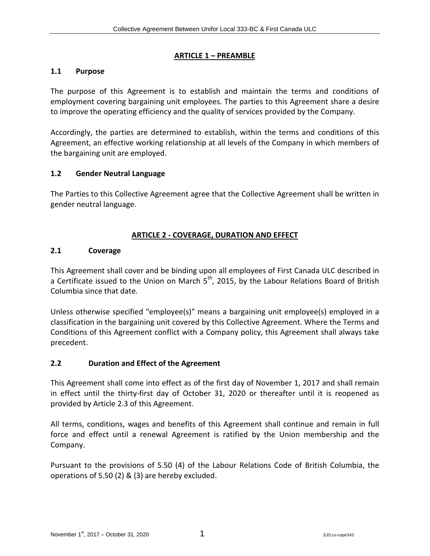#### <span id="page-7-0"></span>**ARTICLE 1 – PREAMBLE**

#### <span id="page-7-1"></span>**1.1 Purpose**

The purpose of this Agreement is to establish and maintain the terms and conditions of employment covering bargaining unit employees. The parties to this Agreement share a desire to improve the operating efficiency and the quality of services provided by the Company.

Accordingly, the parties are determined to establish, within the terms and conditions of this Agreement, an effective working relationship at all levels of the Company in which members of the bargaining unit are employed.

#### <span id="page-7-2"></span>**1.2 Gender Neutral Language**

The Parties to this Collective Agreement agree that the Collective Agreement shall be written in gender neutral language.

#### <span id="page-7-3"></span>**ARTICLE 2 - COVERAGE, DURATION AND EFFECT**

#### <span id="page-7-4"></span>**2.1 Coverage**

This Agreement shall cover and be binding upon all employees of First Canada ULC described in a Certificate issued to the Union on March  $5<sup>th</sup>$ , 2015, by the Labour Relations Board of British Columbia since that date.

Unless otherwise specified "employee(s)" means a bargaining unit employee(s) employed in a classification in the bargaining unit covered by this Collective Agreement. Where the Terms and Conditions of this Agreement conflict with a Company policy, this Agreement shall always take precedent.

#### <span id="page-7-5"></span>**2.2 Duration and Effect of the Agreement**

This Agreement shall come into effect as of the first day of November 1, 2017 and shall remain in effect until the thirty-first day of October 31, 2020 or thereafter until it is reopened as provided by Article 2.3 of this Agreement.

All terms, conditions, wages and benefits of this Agreement shall continue and remain in full force and effect until a renewal Agreement is ratified by the Union membership and the Company.

Pursuant to the provisions of S.50 (4) of the Labour Relations Code of British Columbia, the operations of S.50 (2) & (3) are hereby excluded.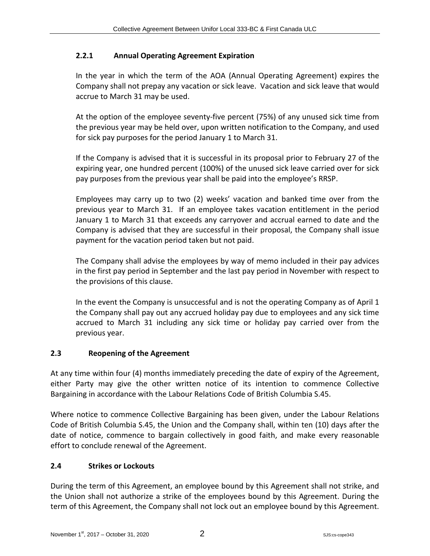# <span id="page-8-0"></span>**2.2.1 Annual Operating Agreement Expiration**

In the year in which the term of the AOA (Annual Operating Agreement) expires the Company shall not prepay any vacation or sick leave. Vacation and sick leave that would accrue to March 31 may be used.

At the option of the employee seventy-five percent (75%) of any unused sick time from the previous year may be held over, upon written notification to the Company, and used for sick pay purposes for the period January 1 to March 31.

If the Company is advised that it is successful in its proposal prior to February 27 of the expiring year, one hundred percent (100%) of the unused sick leave carried over for sick pay purposes from the previous year shall be paid into the employee's RRSP.

Employees may carry up to two (2) weeks' vacation and banked time over from the previous year to March 31. If an employee takes vacation entitlement in the period January 1 to March 31 that exceeds any carryover and accrual earned to date and the Company is advised that they are successful in their proposal, the Company shall issue payment for the vacation period taken but not paid.

The Company shall advise the employees by way of memo included in their pay advices in the first pay period in September and the last pay period in November with respect to the provisions of this clause.

In the event the Company is unsuccessful and is not the operating Company as of April 1 the Company shall pay out any accrued holiday pay due to employees and any sick time accrued to March 31 including any sick time or holiday pay carried over from the previous year.

# <span id="page-8-1"></span>**2.3 Reopening of the Agreement**

At any time within four (4) months immediately preceding the date of expiry of the Agreement, either Party may give the other written notice of its intention to commence Collective Bargaining in accordance with the Labour Relations Code of British Columbia S.45.

Where notice to commence Collective Bargaining has been given, under the Labour Relations Code of British Columbia S.45, the Union and the Company shall, within ten (10) days after the date of notice, commence to bargain collectively in good faith, and make every reasonable effort to conclude renewal of the Agreement.

# <span id="page-8-2"></span>**2.4 Strikes or Lockouts**

During the term of this Agreement, an employee bound by this Agreement shall not strike, and the Union shall not authorize a strike of the employees bound by this Agreement. During the term of this Agreement, the Company shall not lock out an employee bound by this Agreement.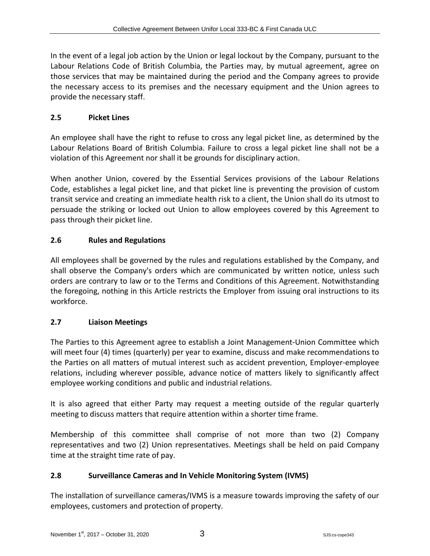In the event of a legal job action by the Union or legal lockout by the Company, pursuant to the Labour Relations Code of British Columbia, the Parties may, by mutual agreement, agree on those services that may be maintained during the period and the Company agrees to provide the necessary access to its premises and the necessary equipment and the Union agrees to provide the necessary staff.

# <span id="page-9-0"></span>**2.5 Picket Lines**

An employee shall have the right to refuse to cross any legal picket line, as determined by the Labour Relations Board of British Columbia. Failure to cross a legal picket line shall not be a violation of this Agreement nor shall it be grounds for disciplinary action.

When another Union, covered by the Essential Services provisions of the Labour Relations Code, establishes a legal picket line, and that picket line is preventing the provision of custom transit service and creating an immediate health risk to a client, the Union shall do its utmost to persuade the striking or locked out Union to allow employees covered by this Agreement to pass through their picket line.

# <span id="page-9-1"></span>**2.6 Rules and Regulations**

All employees shall be governed by the rules and regulations established by the Company, and shall observe the Company's orders which are communicated by written notice, unless such orders are contrary to law or to the Terms and Conditions of this Agreement. Notwithstanding the foregoing, nothing in this Article restricts the Employer from issuing oral instructions to its workforce.

# <span id="page-9-2"></span>**2.7 Liaison Meetings**

The Parties to this Agreement agree to establish a Joint Management-Union Committee which will meet four (4) times (quarterly) per year to examine, discuss and make recommendations to the Parties on all matters of mutual interest such as accident prevention, Employer-employee relations, including wherever possible, advance notice of matters likely to significantly affect employee working conditions and public and industrial relations.

It is also agreed that either Party may request a meeting outside of the regular quarterly meeting to discuss matters that require attention within a shorter time frame.

Membership of this committee shall comprise of not more than two (2) Company representatives and two (2) Union representatives. Meetings shall be held on paid Company time at the straight time rate of pay.

# <span id="page-9-3"></span>**2.8 Surveillance Cameras and In Vehicle Monitoring System (IVMS)**

The installation of surveillance cameras/IVMS is a measure towards improving the safety of our employees, customers and protection of property.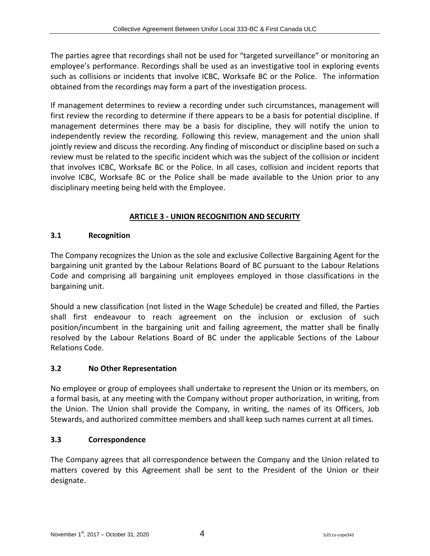The parties agree that recordings shall not be used for "targeted surveillance" or monitoring an employee's performance. Recordings shall be used as an investigative tool in exploring events such as collisions or incidents that involve ICBC, Worksafe BC or the Police. The information obtained from the recordings may form a part of the investigation process.

If management determines to review a recording under such circumstances, management will first review the recording to determine if there appears to be a basis for potential discipline. If management determines there may be a basis for discipline, they will notify the union to independently review the recording. Following this review, management and the union shall jointly review and discuss the recording. Any finding of misconduct or discipline based on such a review must be related to the specific incident which was the subject of the collision or incident that involves ICBC, Worksafe BC or the Police. In all cases, collision and incident reports that involve ICBC, Worksafe BC or the Police shall be made available to the Union prior to any disciplinary meeting being held with the Employee.

# <span id="page-10-0"></span>**ARTICLE 3 - UNION RECOGNITION AND SECURITY**

# <span id="page-10-1"></span>**3.1 Recognition**

The Company recognizes the Union as the sole and exclusive Collective Bargaining Agent for the bargaining unit granted by the Labour Relations Board of BC pursuant to the Labour Relations Code and comprising all bargaining unit employees employed in those classifications in the bargaining unit.

Should a new classification (not listed in the Wage Schedule) be created and filled, the Parties shall first endeavour to reach agreement on the inclusion or exclusion of such position/incumbent in the bargaining unit and failing agreement, the matter shall be finally resolved by the Labour Relations Board of BC under the applicable Sections of the Labour Relations Code.

# <span id="page-10-2"></span>**3.2 No Other Representation**

No employee or group of employees shall undertake to represent the Union or its members, on a formal basis, at any meeting with the Company without proper authorization, in writing, from the Union. The Union shall provide the Company, in writing, the names of its Officers, Job Stewards, and authorized committee members and shall keep such names current at all times.

# <span id="page-10-3"></span>**3.3 Correspondence**

The Company agrees that all correspondence between the Company and the Union related to matters covered by this Agreement shall be sent to the President of the Union or their designate.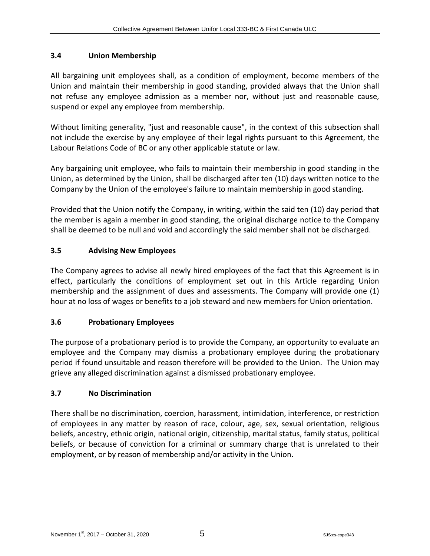# <span id="page-11-0"></span>**3.4 Union Membership**

All bargaining unit employees shall, as a condition of employment, become members of the Union and maintain their membership in good standing, provided always that the Union shall not refuse any employee admission as a member nor, without just and reasonable cause, suspend or expel any employee from membership.

Without limiting generality, "just and reasonable cause", in the context of this subsection shall not include the exercise by any employee of their legal rights pursuant to this Agreement, the Labour Relations Code of BC or any other applicable statute or law.

Any bargaining unit employee, who fails to maintain their membership in good standing in the Union, as determined by the Union, shall be discharged after ten (10) days written notice to the Company by the Union of the employee's failure to maintain membership in good standing.

Provided that the Union notify the Company, in writing, within the said ten (10) day period that the member is again a member in good standing, the original discharge notice to the Company shall be deemed to be null and void and accordingly the said member shall not be discharged.

# <span id="page-11-1"></span>**3.5 Advising New Employees**

The Company agrees to advise all newly hired employees of the fact that this Agreement is in effect, particularly the conditions of employment set out in this Article regarding Union membership and the assignment of dues and assessments. The Company will provide one (1) hour at no loss of wages or benefits to a job steward and new members for Union orientation.

#### <span id="page-11-2"></span>**3.6 Probationary Employees**

The purpose of a probationary period is to provide the Company, an opportunity to evaluate an employee and the Company may dismiss a probationary employee during the probationary period if found unsuitable and reason therefore will be provided to the Union. The Union may grieve any alleged discrimination against a dismissed probationary employee.

#### <span id="page-11-3"></span>**3.7 No Discrimination**

There shall be no discrimination, coercion, harassment, intimidation, interference, or restriction of employees in any matter by reason of race, colour, age, sex, sexual orientation, religious beliefs, ancestry, ethnic origin, national origin, citizenship, marital status, family status, political beliefs, or because of conviction for a criminal or summary charge that is unrelated to their employment, or by reason of membership and/or activity in the Union.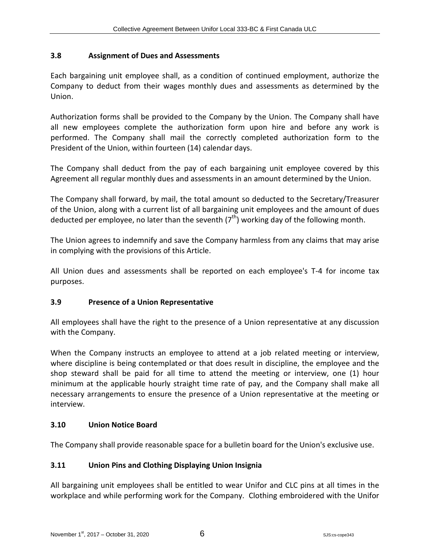# <span id="page-12-0"></span>**3.8 Assignment of Dues and Assessments**

Each bargaining unit employee shall, as a condition of continued employment, authorize the Company to deduct from their wages monthly dues and assessments as determined by the Union.

Authorization forms shall be provided to the Company by the Union. The Company shall have all new employees complete the authorization form upon hire and before any work is performed. The Company shall mail the correctly completed authorization form to the President of the Union, within fourteen (14) calendar days.

The Company shall deduct from the pay of each bargaining unit employee covered by this Agreement all regular monthly dues and assessments in an amount determined by the Union.

The Company shall forward, by mail, the total amount so deducted to the Secretary/Treasurer of the Union, along with a current list of all bargaining unit employees and the amount of dues deducted per employee, no later than the seventh  $(7<sup>th</sup>)$  working day of the following month.

The Union agrees to indemnify and save the Company harmless from any claims that may arise in complying with the provisions of this Article.

All Union dues and assessments shall be reported on each employee's T-4 for income tax purposes.

#### <span id="page-12-1"></span>**3.9 Presence of a Union Representative**

All employees shall have the right to the presence of a Union representative at any discussion with the Company.

When the Company instructs an employee to attend at a job related meeting or interview, where discipline is being contemplated or that does result in discipline, the employee and the shop steward shall be paid for all time to attend the meeting or interview, one (1) hour minimum at the applicable hourly straight time rate of pay, and the Company shall make all necessary arrangements to ensure the presence of a Union representative at the meeting or interview.

# <span id="page-12-2"></span>**3.10 Union Notice Board**

The Company shall provide reasonable space for a bulletin board for the Union's exclusive use.

# <span id="page-12-3"></span>**3.11 Union Pins and Clothing Displaying Union Insignia**

All bargaining unit employees shall be entitled to wear Unifor and CLC pins at all times in the workplace and while performing work for the Company. Clothing embroidered with the Unifor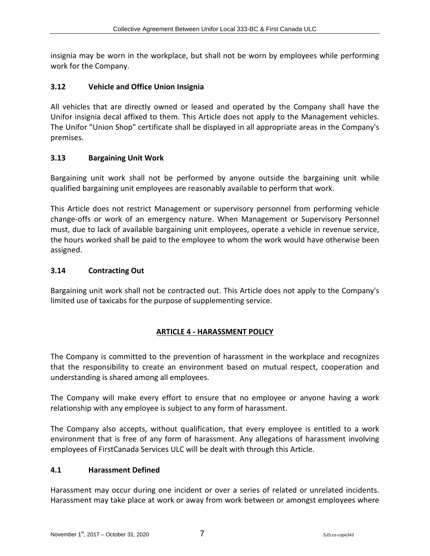insignia may be worn in the workplace, but shall not be worn by employees while performing work for the Company.

#### <span id="page-13-0"></span>**3.12 Vehicle and Office Union Insignia**

All vehicles that are directly owned or leased and operated by the Company shall have the Unifor insignia decal affixed to them. This Article does not apply to the Management vehicles. The Unifor "Union Shop" certificate shall be displayed in all appropriate areas in the Company's premises.

#### <span id="page-13-1"></span>**3.13 Bargaining Unit Work**

Bargaining unit work shall not be performed by anyone outside the bargaining unit while qualified bargaining unit employees are reasonably available to perform that work.

This Article does not restrict Management or supervisory personnel from performing vehicle change-offs or work of an emergency nature. When Management or Supervisory Personnel must, due to lack of available bargaining unit employees, operate a vehicle in revenue service, the hours worked shall be paid to the employee to whom the work would have otherwise been assigned.

#### <span id="page-13-2"></span>**3.14 Contracting Out**

Bargaining unit work shall not be contracted out. This Article does not apply to the Company's limited use of taxicabs for the purpose of supplementing service.

# <span id="page-13-3"></span>**ARTICLE 4 - HARASSMENT POLICY**

The Company is committed to the prevention of harassment in the workplace and recognizes that the responsibility to create an environment based on mutual respect, cooperation and understanding is shared among all employees.

The Company will make every effort to ensure that no employee or anyone having a work relationship with any employee is subject to any form of harassment.

The Company also accepts, without qualification, that every employee is entitled to a work environment that is free of any form of harassment. Any allegations of harassment involving employees of FirstCanada Services ULC will be dealt with through this Article.

#### <span id="page-13-4"></span>**4.1 Harassment Defined**

Harassment may occur during one incident or over a series of related or unrelated incidents. Harassment may take place at work or away from work between or amongst employees where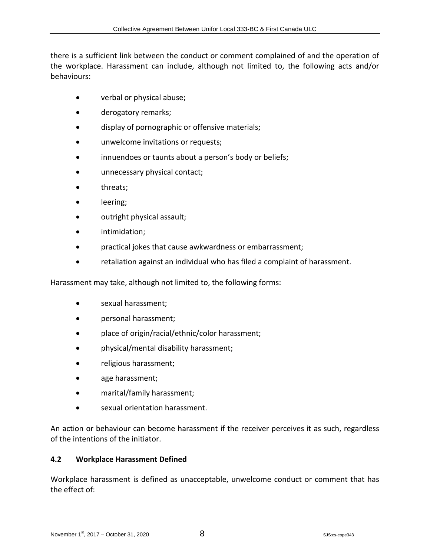there is a sufficient link between the conduct or comment complained of and the operation of the workplace. Harassment can include, although not limited to, the following acts and/or behaviours:

- verbal or physical abuse;
- derogatory remarks;
- display of pornographic or offensive materials;
- unwelcome invitations or requests;
- innuendoes or taunts about a person's body or beliefs;
- unnecessary physical contact;
- threats;
- leering;
- outright physical assault;
- intimidation;
- practical jokes that cause awkwardness or embarrassment;
- retaliation against an individual who has filed a complaint of harassment.

Harassment may take, although not limited to, the following forms:

- sexual harassment;
- personal harassment;
- place of origin/racial/ethnic/color harassment;
- physical/mental disability harassment;
- religious harassment;
- age harassment;
- marital/family harassment;
- sexual orientation harassment.

An action or behaviour can become harassment if the receiver perceives it as such, regardless of the intentions of the initiator.

#### <span id="page-14-0"></span>**4.2 Workplace Harassment Defined**

Workplace harassment is defined as unacceptable, unwelcome conduct or comment that has the effect of: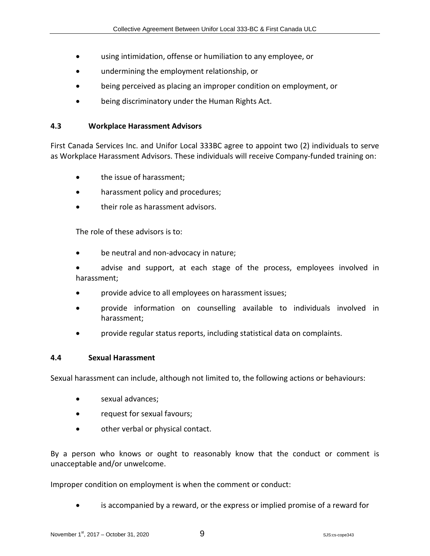- using intimidation, offense or humiliation to any employee, or
- undermining the employment relationship, or
- being perceived as placing an improper condition on employment, or
- being discriminatory under the Human Rights Act.

#### <span id="page-15-0"></span>**4.3 Workplace Harassment Advisors**

First Canada Services Inc. and Unifor Local 333BC agree to appoint two (2) individuals to serve as Workplace Harassment Advisors. These individuals will receive Company-funded training on:

- the issue of harassment;
- harassment policy and procedures;
- their role as harassment advisors.

The role of these advisors is to:

- be neutral and non-advocacy in nature;
- advise and support, at each stage of the process, employees involved in harassment;
- provide advice to all employees on harassment issues;
- provide information on counselling available to individuals involved in harassment;
- provide regular status reports, including statistical data on complaints.

#### <span id="page-15-1"></span>**4.4 Sexual Harassment**

Sexual harassment can include, although not limited to, the following actions or behaviours:

- sexual advances;
- request for sexual favours;
- other verbal or physical contact.

By a person who knows or ought to reasonably know that the conduct or comment is unacceptable and/or unwelcome.

Improper condition on employment is when the comment or conduct:

is accompanied by a reward, or the express or implied promise of a reward for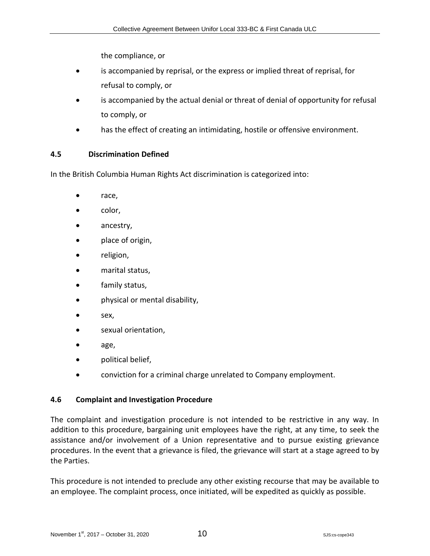the compliance, or

- is accompanied by reprisal, or the express or implied threat of reprisal, for refusal to comply, or
- is accompanied by the actual denial or threat of denial of opportunity for refusal to comply, or
- has the effect of creating an intimidating, hostile or offensive environment.

# <span id="page-16-0"></span>**4.5 Discrimination Defined**

In the British Columbia Human Rights Act discrimination is categorized into:

- race,
- $\bullet$  color,
- ancestry,
- **place of origin,**
- religion,
- marital status,
- family status,
- physical or mental disability,
- $se$ , sex,
- sexual orientation,
- age,
- political belief,
- conviction for a criminal charge unrelated to Company employment.

#### <span id="page-16-1"></span>**4.6 Complaint and Investigation Procedure**

The complaint and investigation procedure is not intended to be restrictive in any way. In addition to this procedure, bargaining unit employees have the right, at any time, to seek the assistance and/or involvement of a Union representative and to pursue existing grievance procedures. In the event that a grievance is filed, the grievance will start at a stage agreed to by the Parties.

This procedure is not intended to preclude any other existing recourse that may be available to an employee. The complaint process, once initiated, will be expedited as quickly as possible.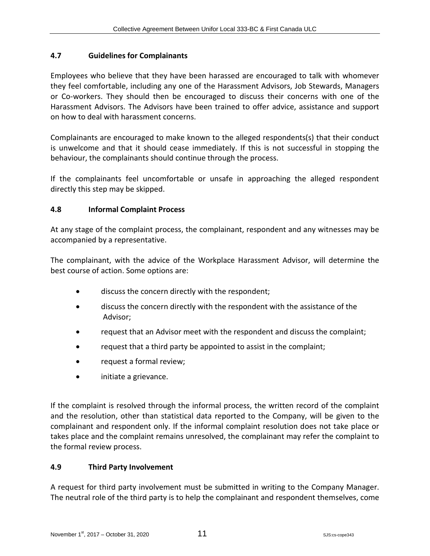#### <span id="page-17-0"></span>**4.7 Guidelines for Complainants**

Employees who believe that they have been harassed are encouraged to talk with whomever they feel comfortable, including any one of the Harassment Advisors, Job Stewards, Managers or Co-workers. They should then be encouraged to discuss their concerns with one of the Harassment Advisors. The Advisors have been trained to offer advice, assistance and support on how to deal with harassment concerns.

Complainants are encouraged to make known to the alleged respondents(s) that their conduct is unwelcome and that it should cease immediately. If this is not successful in stopping the behaviour, the complainants should continue through the process.

If the complainants feel uncomfortable or unsafe in approaching the alleged respondent directly this step may be skipped.

#### <span id="page-17-1"></span>**4.8 Informal Complaint Process**

At any stage of the complaint process, the complainant, respondent and any witnesses may be accompanied by a representative.

The complainant, with the advice of the Workplace Harassment Advisor, will determine the best course of action. Some options are:

- discuss the concern directly with the respondent;
- discuss the concern directly with the respondent with the assistance of the Advisor;
- request that an Advisor meet with the respondent and discuss the complaint;
- request that a third party be appointed to assist in the complaint;
- request a formal review;
- initiate a grievance.

If the complaint is resolved through the informal process, the written record of the complaint and the resolution, other than statistical data reported to the Company, will be given to the complainant and respondent only. If the informal complaint resolution does not take place or takes place and the complaint remains unresolved, the complainant may refer the complaint to the formal review process.

#### <span id="page-17-2"></span>**4.9 Third Party Involvement**

A request for third party involvement must be submitted in writing to the Company Manager. The neutral role of the third party is to help the complainant and respondent themselves, come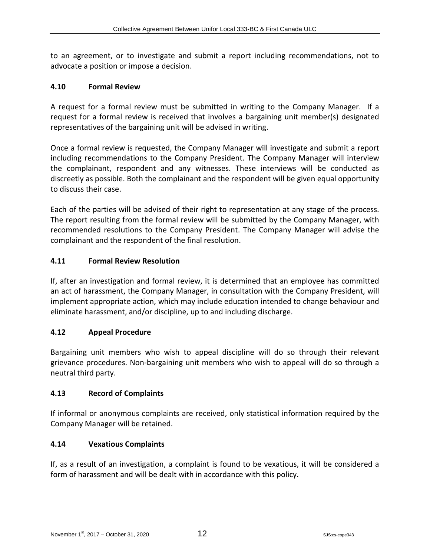to an agreement, or to investigate and submit a report including recommendations, not to advocate a position or impose a decision.

#### <span id="page-18-0"></span>**4.10 Formal Review**

A request for a formal review must be submitted in writing to the Company Manager. If a request for a formal review is received that involves a bargaining unit member(s) designated representatives of the bargaining unit will be advised in writing.

Once a formal review is requested, the Company Manager will investigate and submit a report including recommendations to the Company President. The Company Manager will interview the complainant, respondent and any witnesses. These interviews will be conducted as discreetly as possible. Both the complainant and the respondent will be given equal opportunity to discuss their case.

Each of the parties will be advised of their right to representation at any stage of the process. The report resulting from the formal review will be submitted by the Company Manager, with recommended resolutions to the Company President. The Company Manager will advise the complainant and the respondent of the final resolution.

#### <span id="page-18-1"></span>**4.11 Formal Review Resolution**

If, after an investigation and formal review, it is determined that an employee has committed an act of harassment, the Company Manager, in consultation with the Company President, will implement appropriate action, which may include education intended to change behaviour and eliminate harassment, and/or discipline, up to and including discharge.

#### <span id="page-18-2"></span>**4.12 Appeal Procedure**

Bargaining unit members who wish to appeal discipline will do so through their relevant grievance procedures. Non-bargaining unit members who wish to appeal will do so through a neutral third party.

#### <span id="page-18-3"></span>**4.13 Record of Complaints**

If informal or anonymous complaints are received, only statistical information required by the Company Manager will be retained.

#### <span id="page-18-4"></span>**4.14 Vexatious Complaints**

If, as a result of an investigation, a complaint is found to be vexatious, it will be considered a form of harassment and will be dealt with in accordance with this policy.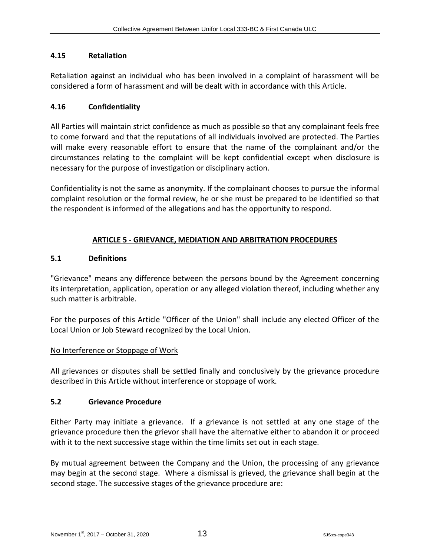#### <span id="page-19-0"></span>**4.15 Retaliation**

Retaliation against an individual who has been involved in a complaint of harassment will be considered a form of harassment and will be dealt with in accordance with this Article.

#### <span id="page-19-1"></span>**4.16 Confidentiality**

All Parties will maintain strict confidence as much as possible so that any complainant feels free to come forward and that the reputations of all individuals involved are protected. The Parties will make every reasonable effort to ensure that the name of the complainant and/or the circumstances relating to the complaint will be kept confidential except when disclosure is necessary for the purpose of investigation or disciplinary action.

Confidentiality is not the same as anonymity. If the complainant chooses to pursue the informal complaint resolution or the formal review, he or she must be prepared to be identified so that the respondent is informed of the allegations and has the opportunity to respond.

#### <span id="page-19-2"></span>**ARTICLE 5 - GRIEVANCE, MEDIATION AND ARBITRATION PROCEDURES**

#### <span id="page-19-3"></span>**5.1 Definitions**

"Grievance" means any difference between the persons bound by the Agreement concerning its interpretation, application, operation or any alleged violation thereof, including whether any such matter is arbitrable.

For the purposes of this Article "Officer of the Union" shall include any elected Officer of the Local Union or Job Steward recognized by the Local Union.

#### No Interference or Stoppage of Work

All grievances or disputes shall be settled finally and conclusively by the grievance procedure described in this Article without interference or stoppage of work.

#### <span id="page-19-4"></span>**5.2 Grievance Procedure**

Either Party may initiate a grievance. If a grievance is not settled at any one stage of the grievance procedure then the grievor shall have the alternative either to abandon it or proceed with it to the next successive stage within the time limits set out in each stage.

By mutual agreement between the Company and the Union, the processing of any grievance may begin at the second stage. Where a dismissal is grieved, the grievance shall begin at the second stage. The successive stages of the grievance procedure are: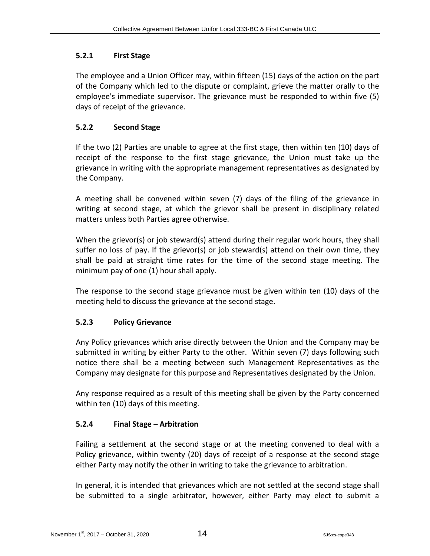# <span id="page-20-0"></span>**5.2.1 First Stage**

The employee and a Union Officer may, within fifteen (15) days of the action on the part of the Company which led to the dispute or complaint, grieve the matter orally to the employee's immediate supervisor. The grievance must be responded to within five (5) days of receipt of the grievance.

# <span id="page-20-1"></span>**5.2.2 Second Stage**

If the two (2) Parties are unable to agree at the first stage, then within ten (10) days of receipt of the response to the first stage grievance, the Union must take up the grievance in writing with the appropriate management representatives as designated by the Company.

A meeting shall be convened within seven (7) days of the filing of the grievance in writing at second stage, at which the grievor shall be present in disciplinary related matters unless both Parties agree otherwise.

When the grievor(s) or job steward(s) attend during their regular work hours, they shall suffer no loss of pay. If the grievor(s) or job steward(s) attend on their own time, they shall be paid at straight time rates for the time of the second stage meeting. The minimum pay of one (1) hour shall apply.

The response to the second stage grievance must be given within ten (10) days of the meeting held to discuss the grievance at the second stage.

# <span id="page-20-2"></span>**5.2.3 Policy Grievance**

Any Policy grievances which arise directly between the Union and the Company may be submitted in writing by either Party to the other. Within seven (7) days following such notice there shall be a meeting between such Management Representatives as the Company may designate for this purpose and Representatives designated by the Union.

Any response required as a result of this meeting shall be given by the Party concerned within ten (10) days of this meeting.

#### <span id="page-20-3"></span>**5.2.4 Final Stage – Arbitration**

Failing a settlement at the second stage or at the meeting convened to deal with a Policy grievance, within twenty (20) days of receipt of a response at the second stage either Party may notify the other in writing to take the grievance to arbitration.

In general, it is intended that grievances which are not settled at the second stage shall be submitted to a single arbitrator, however, either Party may elect to submit a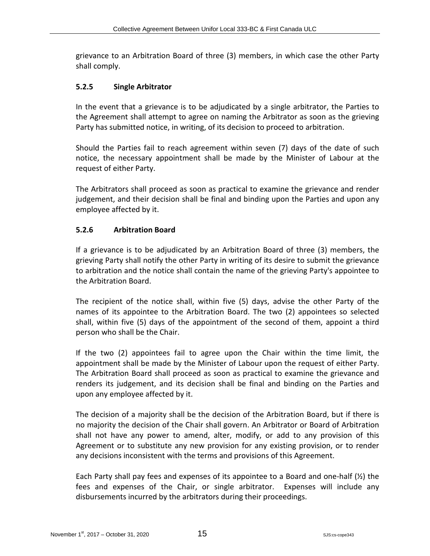grievance to an Arbitration Board of three (3) members, in which case the other Party shall comply.

#### <span id="page-21-0"></span>**5.2.5 Single Arbitrator**

In the event that a grievance is to be adjudicated by a single arbitrator, the Parties to the Agreement shall attempt to agree on naming the Arbitrator as soon as the grieving Party has submitted notice, in writing, of its decision to proceed to arbitration.

Should the Parties fail to reach agreement within seven (7) days of the date of such notice, the necessary appointment shall be made by the Minister of Labour at the request of either Party.

The Arbitrators shall proceed as soon as practical to examine the grievance and render judgement, and their decision shall be final and binding upon the Parties and upon any employee affected by it.

# <span id="page-21-1"></span>**5.2.6 Arbitration Board**

If a grievance is to be adjudicated by an Arbitration Board of three (3) members, the grieving Party shall notify the other Party in writing of its desire to submit the grievance to arbitration and the notice shall contain the name of the grieving Party's appointee to the Arbitration Board.

The recipient of the notice shall, within five (5) days, advise the other Party of the names of its appointee to the Arbitration Board. The two (2) appointees so selected shall, within five (5) days of the appointment of the second of them, appoint a third person who shall be the Chair.

If the two (2) appointees fail to agree upon the Chair within the time limit, the appointment shall be made by the Minister of Labour upon the request of either Party. The Arbitration Board shall proceed as soon as practical to examine the grievance and renders its judgement, and its decision shall be final and binding on the Parties and upon any employee affected by it.

The decision of a majority shall be the decision of the Arbitration Board, but if there is no majority the decision of the Chair shall govern. An Arbitrator or Board of Arbitration shall not have any power to amend, alter, modify, or add to any provision of this Agreement or to substitute any new provision for any existing provision, or to render any decisions inconsistent with the terms and provisions of this Agreement.

Each Party shall pay fees and expenses of its appointee to a Board and one-half (½) the fees and expenses of the Chair, or single arbitrator. Expenses will include any disbursements incurred by the arbitrators during their proceedings.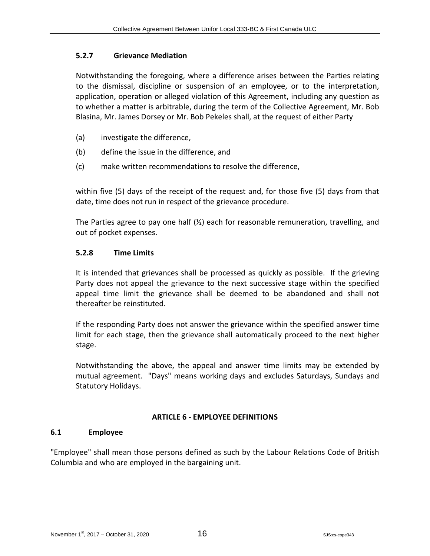#### <span id="page-22-0"></span>**5.2.7 Grievance Mediation**

Notwithstanding the foregoing, where a difference arises between the Parties relating to the dismissal, discipline or suspension of an employee, or to the interpretation, application, operation or alleged violation of this Agreement, including any question as to whether a matter is arbitrable, during the term of the Collective Agreement, Mr. Bob Blasina, Mr. James Dorsey or Mr. Bob Pekeles shall, at the request of either Party

- (a) investigate the difference,
- (b) define the issue in the difference, and
- (c) make written recommendations to resolve the difference,

within five (5) days of the receipt of the request and, for those five (5) days from that date, time does not run in respect of the grievance procedure.

The Parties agree to pay one half  $(\frac{1}{2})$  each for reasonable remuneration, travelling, and out of pocket expenses.

#### <span id="page-22-1"></span>**5.2.8 Time Limits**

It is intended that grievances shall be processed as quickly as possible. If the grieving Party does not appeal the grievance to the next successive stage within the specified appeal time limit the grievance shall be deemed to be abandoned and shall not thereafter be reinstituted.

If the responding Party does not answer the grievance within the specified answer time limit for each stage, then the grievance shall automatically proceed to the next higher stage.

Notwithstanding the above, the appeal and answer time limits may be extended by mutual agreement. "Days" means working days and excludes Saturdays, Sundays and Statutory Holidays.

#### <span id="page-22-2"></span>**ARTICLE 6 - EMPLOYEE DEFINITIONS**

#### <span id="page-22-3"></span>**6.1 Employee**

"Employee" shall mean those persons defined as such by the Labour Relations Code of British Columbia and who are employed in the bargaining unit.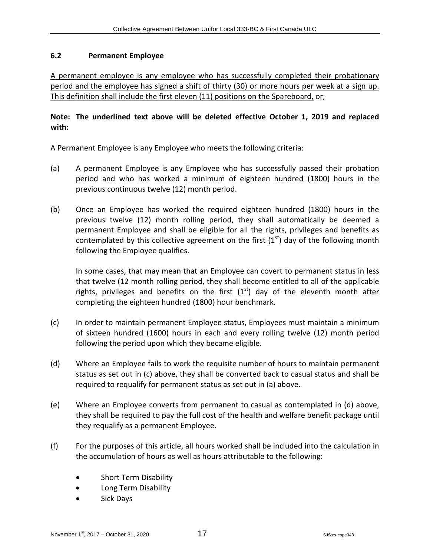#### <span id="page-23-0"></span>**6.2 Permanent Employee**

A permanent employee is any employee who has successfully completed their probationary period and the employee has signed a shift of thirty (30) or more hours per week at a sign up. This definition shall include the first eleven (11) positions on the Spareboard, or;

#### **Note: The underlined text above will be deleted effective October 1, 2019 and replaced with:**

A Permanent Employee is any Employee who meets the following criteria:

- (a) A permanent Employee is any Employee who has successfully passed their probation period and who has worked a minimum of eighteen hundred (1800) hours in the previous continuous twelve (12) month period.
- (b) Once an Employee has worked the required eighteen hundred (1800) hours in the previous twelve (12) month rolling period, they shall automatically be deemed a permanent Employee and shall be eligible for all the rights, privileges and benefits as contemplated by this collective agreement on the first  $(1<sup>st</sup>)$  day of the following month following the Employee qualifies.

In some cases, that may mean that an Employee can covert to permanent status in less that twelve (12 month rolling period, they shall become entitled to all of the applicable rights, privileges and benefits on the first  $(1<sup>st</sup>)$  day of the eleventh month after completing the eighteen hundred (1800) hour benchmark.

- (c) In order to maintain permanent Employee status, Employees must maintain a minimum of sixteen hundred (1600) hours in each and every rolling twelve (12) month period following the period upon which they became eligible.
- (d) Where an Employee fails to work the requisite number of hours to maintain permanent status as set out in (c) above, they shall be converted back to casual status and shall be required to requalify for permanent status as set out in (a) above.
- (e) Where an Employee converts from permanent to casual as contemplated in (d) above, they shall be required to pay the full cost of the health and welfare benefit package until they requalify as a permanent Employee.
- (f) For the purposes of this article, all hours worked shall be included into the calculation in the accumulation of hours as well as hours attributable to the following:
	- **•** Short Term Disability
	- **•** Long Term Disability
	- Sick Days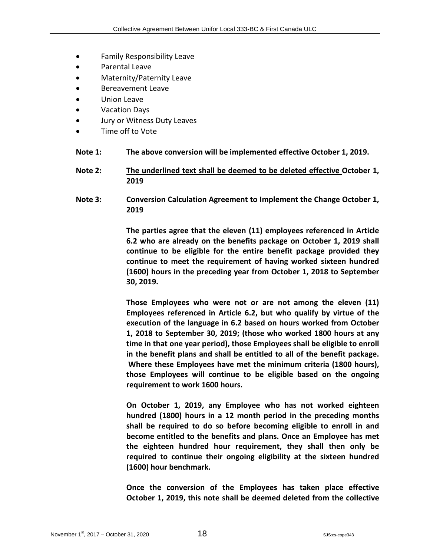- Family Responsibility Leave
- Parental Leave
- Maternity/Paternity Leave
- Bereavement Leave
- Union Leave
- Vacation Days
- Jury or Witness Duty Leaves
- Time off to Vote
- **Note 1: The above conversion will be implemented effective October 1, 2019.**
- **Note 2: The underlined text shall be deemed to be deleted effective October 1, 2019**
- **Note 3: Conversion Calculation Agreement to Implement the Change October 1, 2019**

**The parties agree that the eleven (11) employees referenced in Article 6.2 who are already on the benefits package on October 1, 2019 shall continue to be eligible for the entire benefit package provided they continue to meet the requirement of having worked sixteen hundred (1600) hours in the preceding year from October 1, 2018 to September 30, 2019.**

**Those Employees who were not or are not among the eleven (11) Employees referenced in Article 6.2, but who qualify by virtue of the execution of the language in 6.2 based on hours worked from October 1, 2018 to September 30, 2019; (those who worked 1800 hours at any time in that one year period), those Employees shall be eligible to enroll in the benefit plans and shall be entitled to all of the benefit package. Where these Employees have met the minimum criteria (1800 hours), those Employees will continue to be eligible based on the ongoing requirement to work 1600 hours.**

**On October 1, 2019, any Employee who has not worked eighteen hundred (1800) hours in a 12 month period in the preceding months shall be required to do so before becoming eligible to enroll in and become entitled to the benefits and plans. Once an Employee has met the eighteen hundred hour requirement, they shall then only be required to continue their ongoing eligibility at the sixteen hundred (1600) hour benchmark.**

**Once the conversion of the Employees has taken place effective October 1, 2019, this note shall be deemed deleted from the collective**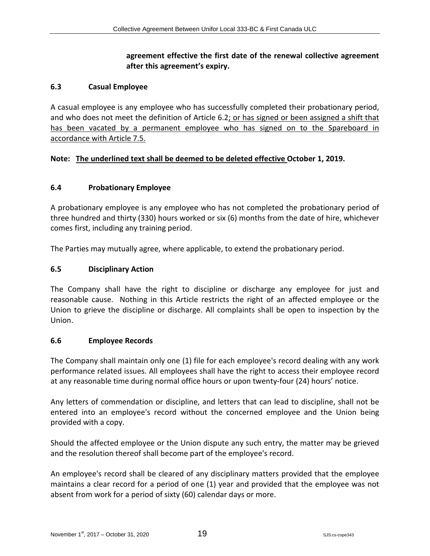# **agreement effective the first date of the renewal collective agreement after this agreement's expiry.**

#### <span id="page-25-0"></span>**6.3 Casual Employee**

A casual employee is any employee who has successfully completed their probationary period, and who does not meet the definition of Article 6.2; or has signed or been assigned a shift that has been vacated by a permanent employee who has signed on to the Spareboard in accordance with Article 7.5.

#### **Note: The underlined text shall be deemed to be deleted effective October 1, 2019.**

#### <span id="page-25-1"></span>**6.4 Probationary Employee**

A probationary employee is any employee who has not completed the probationary period of three hundred and thirty (330) hours worked or six (6) months from the date of hire, whichever comes first, including any training period.

The Parties may mutually agree, where applicable, to extend the probationary period.

#### <span id="page-25-2"></span>**6.5 Disciplinary Action**

The Company shall have the right to discipline or discharge any employee for just and reasonable cause. Nothing in this Article restricts the right of an affected employee or the Union to grieve the discipline or discharge. All complaints shall be open to inspection by the Union.

#### <span id="page-25-3"></span>**6.6 Employee Records**

The Company shall maintain only one (1) file for each employee's record dealing with any work performance related issues. All employees shall have the right to access their employee record at any reasonable time during normal office hours or upon twenty-four (24) hours' notice.

Any letters of commendation or discipline, and letters that can lead to discipline, shall not be entered into an employee's record without the concerned employee and the Union being provided with a copy.

Should the affected employee or the Union dispute any such entry, the matter may be grieved and the resolution thereof shall become part of the employee's record.

An employee's record shall be cleared of any disciplinary matters provided that the employee maintains a clear record for a period of one (1) year and provided that the employee was not absent from work for a period of sixty (60) calendar days or more.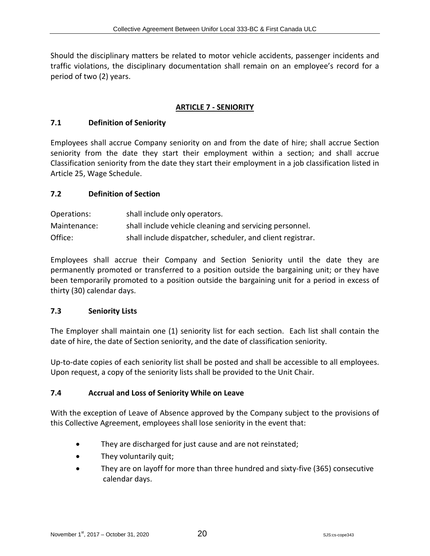Should the disciplinary matters be related to motor vehicle accidents, passenger incidents and traffic violations, the disciplinary documentation shall remain on an employee's record for a period of two (2) years.

#### <span id="page-26-0"></span>**ARTICLE 7 - SENIORITY**

#### <span id="page-26-1"></span>**7.1 Definition of Seniority**

Employees shall accrue Company seniority on and from the date of hire; shall accrue Section seniority from the date they start their employment within a section; and shall accrue Classification seniority from the date they start their employment in a job classification listed in Article 25, Wage Schedule.

#### <span id="page-26-2"></span>**7.2 Definition of Section**

| Operations:  | shall include only operators.                              |
|--------------|------------------------------------------------------------|
| Maintenance: | shall include vehicle cleaning and servicing personnel.    |
| Office:      | shall include dispatcher, scheduler, and client registrar. |

Employees shall accrue their Company and Section Seniority until the date they are permanently promoted or transferred to a position outside the bargaining unit; or they have been temporarily promoted to a position outside the bargaining unit for a period in excess of thirty (30) calendar days.

#### <span id="page-26-3"></span>**7.3 Seniority Lists**

The Employer shall maintain one (1) seniority list for each section. Each list shall contain the date of hire, the date of Section seniority, and the date of classification seniority.

Up-to-date copies of each seniority list shall be posted and shall be accessible to all employees. Upon request, a copy of the seniority lists shall be provided to the Unit Chair.

#### <span id="page-26-4"></span>**7.4 Accrual and Loss of Seniority While on Leave**

With the exception of Leave of Absence approved by the Company subject to the provisions of this Collective Agreement, employees shall lose seniority in the event that:

- They are discharged for just cause and are not reinstated;
- They voluntarily quit;
- They are on layoff for more than three hundred and sixty-five (365) consecutive calendar days.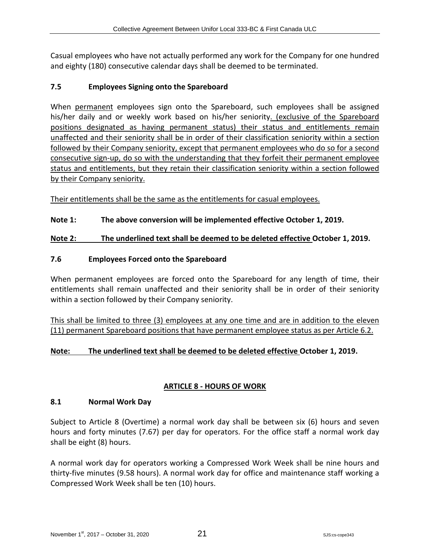Casual employees who have not actually performed any work for the Company for one hundred and eighty (180) consecutive calendar days shall be deemed to be terminated.

#### <span id="page-27-0"></span>**7.5 Employees Signing onto the Spareboard**

When permanent employees sign onto the Spareboard, such employees shall be assigned his/her daily and or weekly work based on his/her seniority. (exclusive of the Spareboard positions designated as having permanent status) their status and entitlements remain unaffected and their seniority shall be in order of their classification seniority within a section followed by their Company seniority, except that permanent employees who do so for a second consecutive sign-up, do so with the understanding that they forfeit their permanent employee status and entitlements, but they retain their classification seniority within a section followed by their Company seniority.

Their entitlements shall be the same as the entitlements for casual employees.

# **Note 1: The above conversion will be implemented effective October 1, 2019.**

#### **Note 2: The underlined text shall be deemed to be deleted effective October 1, 2019.**

# <span id="page-27-1"></span>**7.6 Employees Forced onto the Spareboard**

When permanent employees are forced onto the Spareboard for any length of time, their entitlements shall remain unaffected and their seniority shall be in order of their seniority within a section followed by their Company seniority.

This shall be limited to three (3) employees at any one time and are in addition to the eleven (11) permanent Spareboard positions that have permanent employee status as per Article 6.2.

#### **Note: The underlined text shall be deemed to be deleted effective October 1, 2019.**

# <span id="page-27-2"></span>**ARTICLE 8 - HOURS OF WORK**

#### <span id="page-27-3"></span>**8.1 Normal Work Day**

Subject to Article 8 (Overtime) a normal work day shall be between six (6) hours and seven hours and forty minutes (7.67) per day for operators. For the office staff a normal work day shall be eight (8) hours.

A normal work day for operators working a Compressed Work Week shall be nine hours and thirty-five minutes (9.58 hours). A normal work day for office and maintenance staff working a Compressed Work Week shall be ten (10) hours.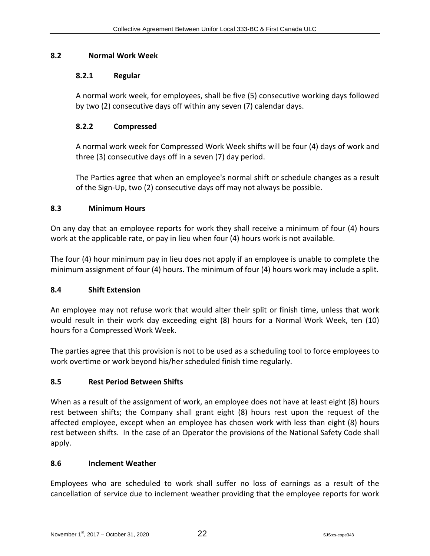# <span id="page-28-0"></span>**8.2 Normal Work Week**

#### <span id="page-28-1"></span>**8.2.1 Regular**

A normal work week, for employees, shall be five (5) consecutive working days followed by two (2) consecutive days off within any seven (7) calendar days.

# <span id="page-28-2"></span>**8.2.2 Compressed**

A normal work week for Compressed Work Week shifts will be four (4) days of work and three (3) consecutive days off in a seven (7) day period.

The Parties agree that when an employee's normal shift or schedule changes as a result of the Sign-Up, two (2) consecutive days off may not always be possible.

#### <span id="page-28-3"></span>**8.3 Minimum Hours**

On any day that an employee reports for work they shall receive a minimum of four (4) hours work at the applicable rate, or pay in lieu when four (4) hours work is not available.

The four (4) hour minimum pay in lieu does not apply if an employee is unable to complete the minimum assignment of four (4) hours. The minimum of four (4) hours work may include a split.

#### <span id="page-28-4"></span>**8.4 Shift Extension**

An employee may not refuse work that would alter their split or finish time, unless that work would result in their work day exceeding eight (8) hours for a Normal Work Week, ten (10) hours for a Compressed Work Week.

The parties agree that this provision is not to be used as a scheduling tool to force employees to work overtime or work beyond his/her scheduled finish time regularly.

#### <span id="page-28-5"></span>**8.5 Rest Period Between Shifts**

When as a result of the assignment of work, an employee does not have at least eight (8) hours rest between shifts; the Company shall grant eight (8) hours rest upon the request of the affected employee, except when an employee has chosen work with less than eight (8) hours rest between shifts. In the case of an Operator the provisions of the National Safety Code shall apply.

#### <span id="page-28-6"></span>**8.6 Inclement Weather**

Employees who are scheduled to work shall suffer no loss of earnings as a result of the cancellation of service due to inclement weather providing that the employee reports for work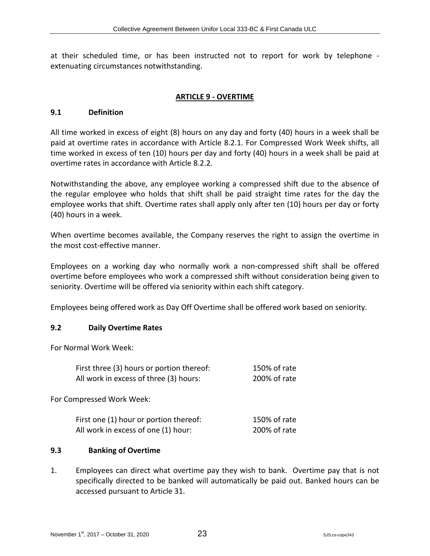at their scheduled time, or has been instructed not to report for work by telephone extenuating circumstances notwithstanding.

#### <span id="page-29-0"></span>**ARTICLE 9 - OVERTIME**

#### <span id="page-29-1"></span>**9.1 Definition**

All time worked in excess of eight (8) hours on any day and forty (40) hours in a week shall be paid at overtime rates in accordance with Article 8.2.1. For Compressed Work Week shifts, all time worked in excess of ten (10) hours per day and forty (40) hours in a week shall be paid at overtime rates in accordance with Article 8.2.2.

Notwithstanding the above, any employee working a compressed shift due to the absence of the regular employee who holds that shift shall be paid straight time rates for the day the employee works that shift. Overtime rates shall apply only after ten (10) hours per day or forty (40) hours in a week.

When overtime becomes available, the Company reserves the right to assign the overtime in the most cost-effective manner.

Employees on a working day who normally work a non-compressed shift shall be offered overtime before employees who work a compressed shift without consideration being given to seniority. Overtime will be offered via seniority within each shift category.

Employees being offered work as Day Off Overtime shall be offered work based on seniority.

#### <span id="page-29-2"></span>**9.2 Daily Overtime Rates**

For Normal Work Week:

| First three (3) hours or portion thereof: | 150% of rate |
|-------------------------------------------|--------------|
| All work in excess of three (3) hours:    | 200% of rate |
|                                           |              |
| For Compressed Work Week:                 |              |
|                                           |              |
| First one (1) hour or portion thereof:    | 150% of rate |
| All work in excess of one (1) hour:       | 200% of rate |

#### <span id="page-29-3"></span>**9.3 Banking of Overtime**

1. Employees can direct what overtime pay they wish to bank. Overtime pay that is not specifically directed to be banked will automatically be paid out. Banked hours can be accessed pursuant to Article 31.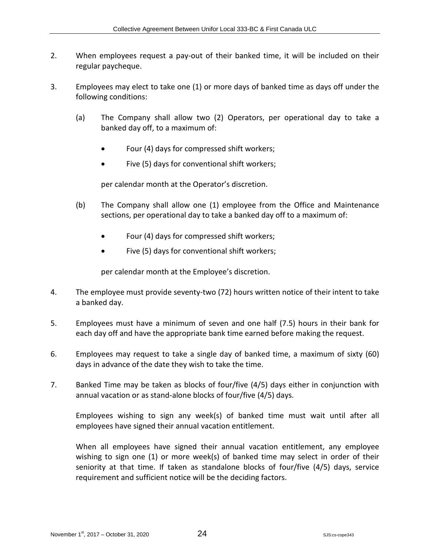- 2. When employees request a pay-out of their banked time, it will be included on their regular paycheque.
- 3. Employees may elect to take one (1) or more days of banked time as days off under the following conditions:
	- (a) The Company shall allow two (2) Operators, per operational day to take a banked day off, to a maximum of:
		- Four (4) days for compressed shift workers;
		- Five (5) days for conventional shift workers;

per calendar month at the Operator's discretion.

- (b) The Company shall allow one (1) employee from the Office and Maintenance sections, per operational day to take a banked day off to a maximum of:
	- Four (4) days for compressed shift workers;
	- Five (5) days for conventional shift workers;

per calendar month at the Employee's discretion.

- 4. The employee must provide seventy-two (72) hours written notice of their intent to take a banked day.
- 5. Employees must have a minimum of seven and one half (7.5) hours in their bank for each day off and have the appropriate bank time earned before making the request.
- 6. Employees may request to take a single day of banked time, a maximum of sixty (60) days in advance of the date they wish to take the time.
- 7. Banked Time may be taken as blocks of four/five (4/5) days either in conjunction with annual vacation or as stand-alone blocks of four/five (4/5) days.

Employees wishing to sign any week(s) of banked time must wait until after all employees have signed their annual vacation entitlement.

When all employees have signed their annual vacation entitlement, any employee wishing to sign one (1) or more week(s) of banked time may select in order of their seniority at that time. If taken as standalone blocks of four/five (4/5) days, service requirement and sufficient notice will be the deciding factors.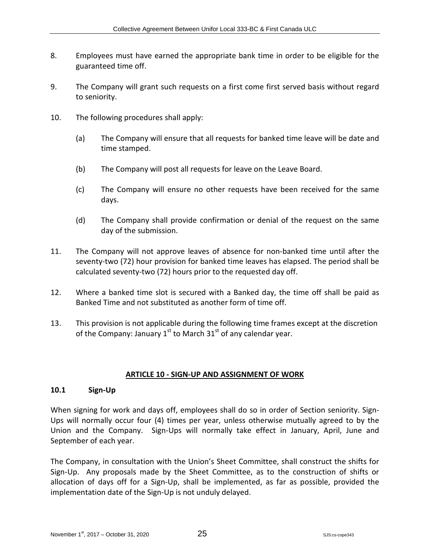- 8. Employees must have earned the appropriate bank time in order to be eligible for the guaranteed time off.
- 9. The Company will grant such requests on a first come first served basis without regard to seniority.
- 10. The following procedures shall apply:
	- (a) The Company will ensure that all requests for banked time leave will be date and time stamped.
	- (b) The Company will post all requests for leave on the Leave Board.
	- (c) The Company will ensure no other requests have been received for the same days.
	- (d) The Company shall provide confirmation or denial of the request on the same day of the submission.
- 11. The Company will not approve leaves of absence for non-banked time until after the seventy-two (72) hour provision for banked time leaves has elapsed. The period shall be calculated seventy-two (72) hours prior to the requested day off.
- 12. Where a banked time slot is secured with a Banked day, the time off shall be paid as Banked Time and not substituted as another form of time off.
- 13. This provision is not applicable during the following time frames except at the discretion of the Company: January  $1<sup>st</sup>$  to March  $31<sup>st</sup>$  of any calendar year.

#### <span id="page-31-0"></span>**ARTICLE 10 - SIGN-UP AND ASSIGNMENT OF WORK**

#### <span id="page-31-1"></span>**10.1 Sign-Up**

When signing for work and days off, employees shall do so in order of Section seniority. Sign-Ups will normally occur four (4) times per year, unless otherwise mutually agreed to by the Union and the Company. Sign-Ups will normally take effect in January, April, June and September of each year.

The Company, in consultation with the Union's Sheet Committee, shall construct the shifts for Sign-Up. Any proposals made by the Sheet Committee, as to the construction of shifts or allocation of days off for a Sign-Up, shall be implemented, as far as possible, provided the implementation date of the Sign-Up is not unduly delayed.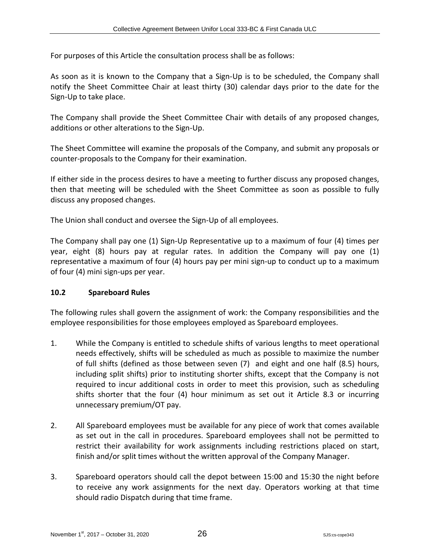For purposes of this Article the consultation process shall be as follows:

As soon as it is known to the Company that a Sign-Up is to be scheduled, the Company shall notify the Sheet Committee Chair at least thirty (30) calendar days prior to the date for the Sign-Up to take place.

The Company shall provide the Sheet Committee Chair with details of any proposed changes, additions or other alterations to the Sign-Up.

The Sheet Committee will examine the proposals of the Company, and submit any proposals or counter-proposals to the Company for their examination.

If either side in the process desires to have a meeting to further discuss any proposed changes, then that meeting will be scheduled with the Sheet Committee as soon as possible to fully discuss any proposed changes.

The Union shall conduct and oversee the Sign-Up of all employees.

The Company shall pay one (1) Sign-Up Representative up to a maximum of four (4) times per year, eight (8) hours pay at regular rates. In addition the Company will pay one (1) representative a maximum of four (4) hours pay per mini sign-up to conduct up to a maximum of four (4) mini sign-ups per year.

#### <span id="page-32-0"></span>**10.2 Spareboard Rules**

The following rules shall govern the assignment of work: the Company responsibilities and the employee responsibilities for those employees employed as Spareboard employees.

- 1. While the Company is entitled to schedule shifts of various lengths to meet operational needs effectively, shifts will be scheduled as much as possible to maximize the number of full shifts (defined as those between seven (7) and eight and one half (8.5) hours, including split shifts) prior to instituting shorter shifts, except that the Company is not required to incur additional costs in order to meet this provision, such as scheduling shifts shorter that the four (4) hour minimum as set out it Article 8.3 or incurring unnecessary premium/OT pay.
- 2. All Spareboard employees must be available for any piece of work that comes available as set out in the call in procedures. Spareboard employees shall not be permitted to restrict their availability for work assignments including restrictions placed on start, finish and/or split times without the written approval of the Company Manager.
- 3. Spareboard operators should call the depot between 15:00 and 15:30 the night before to receive any work assignments for the next day. Operators working at that time should radio Dispatch during that time frame.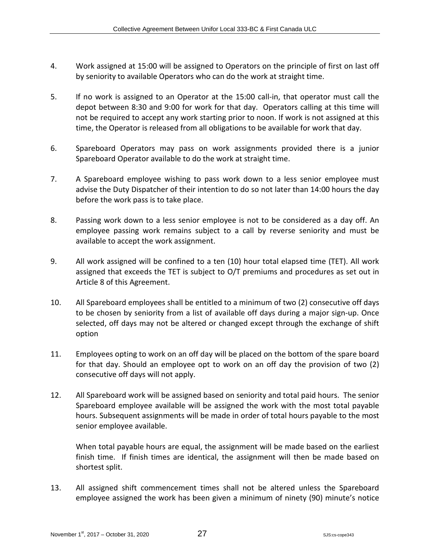- 4. Work assigned at 15:00 will be assigned to Operators on the principle of first on last off by seniority to available Operators who can do the work at straight time.
- 5. If no work is assigned to an Operator at the 15:00 call-in, that operator must call the depot between 8:30 and 9:00 for work for that day. Operators calling at this time will not be required to accept any work starting prior to noon. If work is not assigned at this time, the Operator is released from all obligations to be available for work that day.
- 6. Spareboard Operators may pass on work assignments provided there is a junior Spareboard Operator available to do the work at straight time.
- 7. A Spareboard employee wishing to pass work down to a less senior employee must advise the Duty Dispatcher of their intention to do so not later than 14:00 hours the day before the work pass is to take place.
- 8. Passing work down to a less senior employee is not to be considered as a day off. An employee passing work remains subject to a call by reverse seniority and must be available to accept the work assignment.
- 9. All work assigned will be confined to a ten (10) hour total elapsed time (TET). All work assigned that exceeds the TET is subject to O/T premiums and procedures as set out in Article 8 of this Agreement.
- 10. All Spareboard employees shall be entitled to a minimum of two (2) consecutive off days to be chosen by seniority from a list of available off days during a major sign-up. Once selected, off days may not be altered or changed except through the exchange of shift option
- 11. Employees opting to work on an off day will be placed on the bottom of the spare board for that day. Should an employee opt to work on an off day the provision of two (2) consecutive off days will not apply.
- 12. All Spareboard work will be assigned based on seniority and total paid hours. The senior Spareboard employee available will be assigned the work with the most total payable hours. Subsequent assignments will be made in order of total hours payable to the most senior employee available.

When total payable hours are equal, the assignment will be made based on the earliest finish time. If finish times are identical, the assignment will then be made based on shortest split.

13. All assigned shift commencement times shall not be altered unless the Spareboard employee assigned the work has been given a minimum of ninety (90) minute's notice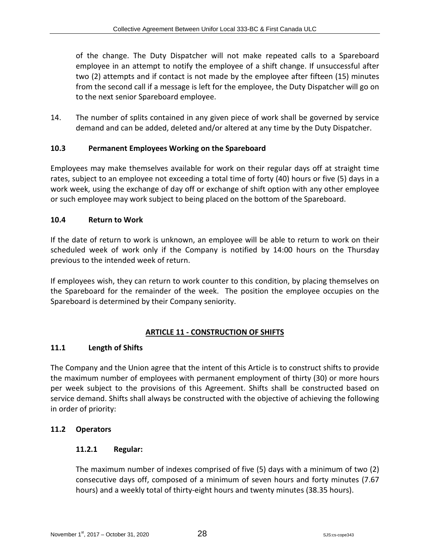of the change. The Duty Dispatcher will not make repeated calls to a Spareboard employee in an attempt to notify the employee of a shift change. If unsuccessful after two (2) attempts and if contact is not made by the employee after fifteen (15) minutes from the second call if a message is left for the employee, the Duty Dispatcher will go on to the next senior Spareboard employee.

14. The number of splits contained in any given piece of work shall be governed by service demand and can be added, deleted and/or altered at any time by the Duty Dispatcher.

# <span id="page-34-0"></span>**10.3 Permanent Employees Working on the Spareboard**

Employees may make themselves available for work on their regular days off at straight time rates, subject to an employee not exceeding a total time of forty (40) hours or five (5) days in a work week, using the exchange of day off or exchange of shift option with any other employee or such employee may work subject to being placed on the bottom of the Spareboard.

# <span id="page-34-1"></span>**10.4 Return to Work**

If the date of return to work is unknown, an employee will be able to return to work on their scheduled week of work only if the Company is notified by 14:00 hours on the Thursday previous to the intended week of return.

If employees wish, they can return to work counter to this condition, by placing themselves on the Spareboard for the remainder of the week. The position the employee occupies on the Spareboard is determined by their Company seniority.

# <span id="page-34-2"></span>**ARTICLE 11 - CONSTRUCTION OF SHIFTS**

# <span id="page-34-3"></span>**11.1 Length of Shifts**

The Company and the Union agree that the intent of this Article is to construct shifts to provide the maximum number of employees with permanent employment of thirty (30) or more hours per week subject to the provisions of this Agreement. Shifts shall be constructed based on service demand. Shifts shall always be constructed with the objective of achieving the following in order of priority:

#### <span id="page-34-4"></span>**11.2 Operators**

#### <span id="page-34-5"></span>**11.2.1 Regular:**

The maximum number of indexes comprised of five (5) days with a minimum of two (2) consecutive days off, composed of a minimum of seven hours and forty minutes (7.67 hours) and a weekly total of thirty-eight hours and twenty minutes (38.35 hours).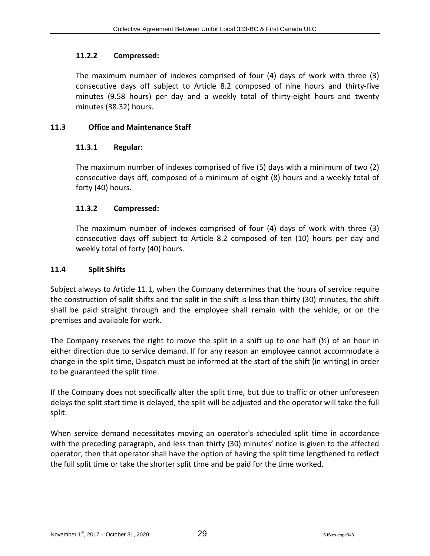#### <span id="page-35-0"></span>**11.2.2 Compressed:**

The maximum number of indexes comprised of four (4) days of work with three (3) consecutive days off subject to Article 8.2 composed of nine hours and thirty-five minutes (9.58 hours) per day and a weekly total of thirty-eight hours and twenty minutes (38.32) hours.

#### <span id="page-35-1"></span>**11.3 Office and Maintenance Staff**

#### <span id="page-35-2"></span>**11.3.1 Regular:**

The maximum number of indexes comprised of five (5) days with a minimum of two (2) consecutive days off, composed of a minimum of eight (8) hours and a weekly total of forty (40) hours.

#### <span id="page-35-3"></span>**11.3.2 Compressed:**

The maximum number of indexes comprised of four (4) days of work with three (3) consecutive days off subject to Article 8.2 composed of ten (10) hours per day and weekly total of forty (40) hours.

#### <span id="page-35-4"></span>**11.4 Split Shifts**

Subject always to Article 11.1, when the Company determines that the hours of service require the construction of split shifts and the split in the shift is less than thirty (30) minutes, the shift shall be paid straight through and the employee shall remain with the vehicle, or on the premises and available for work.

The Company reserves the right to move the split in a shift up to one half  $(\frac{1}{2})$  of an hour in either direction due to service demand. If for any reason an employee cannot accommodate a change in the split time, Dispatch must be informed at the start of the shift (in writing) in order to be guaranteed the split time.

If the Company does not specifically alter the split time, but due to traffic or other unforeseen delays the split start time is delayed, the split will be adjusted and the operator will take the full split.

When service demand necessitates moving an operator's scheduled split time in accordance with the preceding paragraph, and less than thirty (30) minutes' notice is given to the affected operator, then that operator shall have the option of having the split time lengthened to reflect the full split time or take the shorter split time and be paid for the time worked.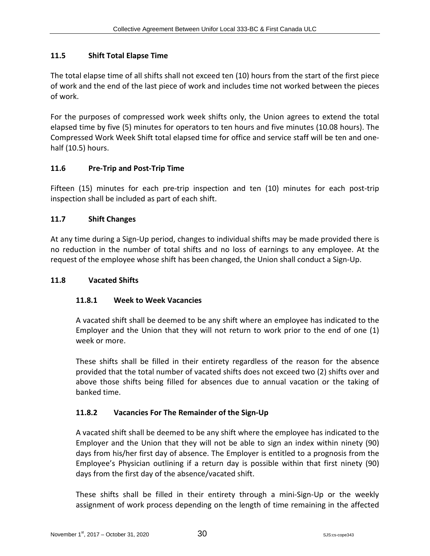# **11.5 Shift Total Elapse Time**

The total elapse time of all shifts shall not exceed ten (10) hours from the start of the first piece of work and the end of the last piece of work and includes time not worked between the pieces of work.

For the purposes of compressed work week shifts only, the Union agrees to extend the total elapsed time by five (5) minutes for operators to ten hours and five minutes (10.08 hours). The Compressed Work Week Shift total elapsed time for office and service staff will be ten and onehalf (10.5) hours.

# **11.6 Pre-Trip and Post-Trip Time**

Fifteen (15) minutes for each pre-trip inspection and ten (10) minutes for each post-trip inspection shall be included as part of each shift.

# **11.7 Shift Changes**

At any time during a Sign-Up period, changes to individual shifts may be made provided there is no reduction in the number of total shifts and no loss of earnings to any employee. At the request of the employee whose shift has been changed, the Union shall conduct a Sign-Up.

# **11.8 Vacated Shifts**

# **11.8.1 Week to Week Vacancies**

A vacated shift shall be deemed to be any shift where an employee has indicated to the Employer and the Union that they will not return to work prior to the end of one (1) week or more.

These shifts shall be filled in their entirety regardless of the reason for the absence provided that the total number of vacated shifts does not exceed two (2) shifts over and above those shifts being filled for absences due to annual vacation or the taking of banked time.

# **11.8.2 Vacancies For The Remainder of the Sign-Up**

A vacated shift shall be deemed to be any shift where the employee has indicated to the Employer and the Union that they will not be able to sign an index within ninety (90) days from his/her first day of absence. The Employer is entitled to a prognosis from the Employee's Physician outlining if a return day is possible within that first ninety (90) days from the first day of the absence/vacated shift.

These shifts shall be filled in their entirety through a mini-Sign-Up or the weekly assignment of work process depending on the length of time remaining in the affected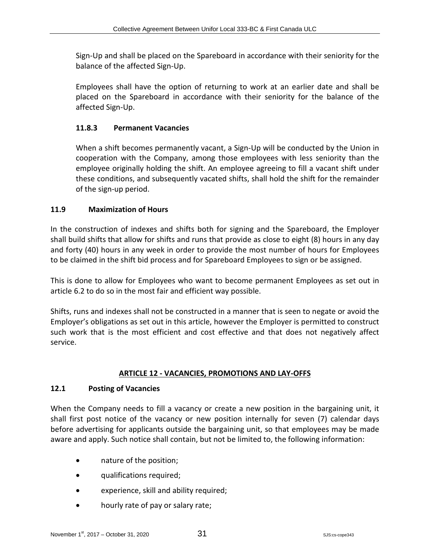Sign-Up and shall be placed on the Spareboard in accordance with their seniority for the balance of the affected Sign-Up.

Employees shall have the option of returning to work at an earlier date and shall be placed on the Spareboard in accordance with their seniority for the balance of the affected Sign-Up.

## **11.8.3 Permanent Vacancies**

When a shift becomes permanently vacant, a Sign-Up will be conducted by the Union in cooperation with the Company, among those employees with less seniority than the employee originally holding the shift. An employee agreeing to fill a vacant shift under these conditions, and subsequently vacated shifts, shall hold the shift for the remainder of the sign-up period.

## **11.9 Maximization of Hours**

In the construction of indexes and shifts both for signing and the Spareboard, the Employer shall build shifts that allow for shifts and runs that provide as close to eight (8) hours in any day and forty (40) hours in any week in order to provide the most number of hours for Employees to be claimed in the shift bid process and for Spareboard Employees to sign or be assigned.

This is done to allow for Employees who want to become permanent Employees as set out in article 6.2 to do so in the most fair and efficient way possible.

Shifts, runs and indexes shall not be constructed in a manner that is seen to negate or avoid the Employer's obligations as set out in this article, however the Employer is permitted to construct such work that is the most efficient and cost effective and that does not negatively affect service.

# **ARTICLE 12 - VACANCIES, PROMOTIONS AND LAY-OFFS**

## **12.1 Posting of Vacancies**

When the Company needs to fill a vacancy or create a new position in the bargaining unit, it shall first post notice of the vacancy or new position internally for seven (7) calendar days before advertising for applicants outside the bargaining unit, so that employees may be made aware and apply. Such notice shall contain, but not be limited to, the following information:

- nature of the position;
- qualifications required;
- experience, skill and ability required;
- hourly rate of pay or salary rate;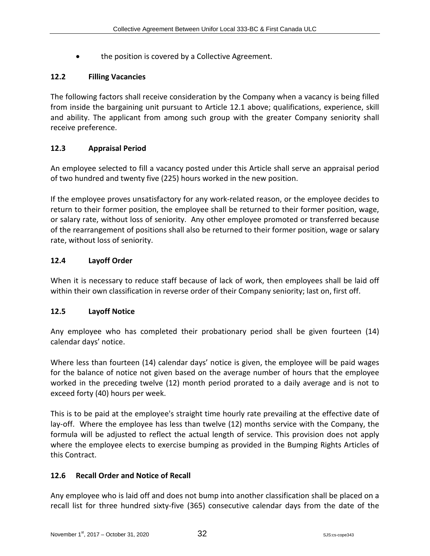• the position is covered by a Collective Agreement.

## **12.2 Filling Vacancies**

The following factors shall receive consideration by the Company when a vacancy is being filled from inside the bargaining unit pursuant to Article 12.1 above; qualifications, experience, skill and ability. The applicant from among such group with the greater Company seniority shall receive preference.

# **12.3 Appraisal Period**

An employee selected to fill a vacancy posted under this Article shall serve an appraisal period of two hundred and twenty five (225) hours worked in the new position.

If the employee proves unsatisfactory for any work-related reason, or the employee decides to return to their former position, the employee shall be returned to their former position, wage, or salary rate, without loss of seniority. Any other employee promoted or transferred because of the rearrangement of positions shall also be returned to their former position, wage or salary rate, without loss of seniority.

# **12.4 Layoff Order**

When it is necessary to reduce staff because of lack of work, then employees shall be laid off within their own classification in reverse order of their Company seniority; last on, first off.

## **12.5 Layoff Notice**

Any employee who has completed their probationary period shall be given fourteen (14) calendar days' notice.

Where less than fourteen (14) calendar days' notice is given, the employee will be paid wages for the balance of notice not given based on the average number of hours that the employee worked in the preceding twelve (12) month period prorated to a daily average and is not to exceed forty (40) hours per week.

This is to be paid at the employee's straight time hourly rate prevailing at the effective date of lay-off. Where the employee has less than twelve (12) months service with the Company, the formula will be adjusted to reflect the actual length of service. This provision does not apply where the employee elects to exercise bumping as provided in the Bumping Rights Articles of this Contract.

## **12.6 Recall Order and Notice of Recall**

Any employee who is laid off and does not bump into another classification shall be placed on a recall list for three hundred sixty-five (365) consecutive calendar days from the date of the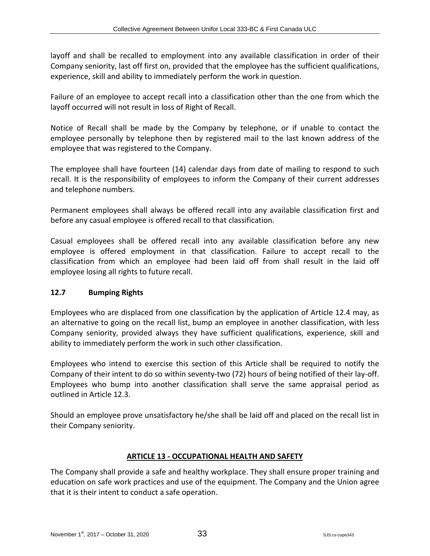layoff and shall be recalled to employment into any available classification in order of their Company seniority, last off first on, provided that the employee has the sufficient qualifications, experience, skill and ability to immediately perform the work in question.

Failure of an employee to accept recall into a classification other than the one from which the layoff occurred will not result in loss of Right of Recall.

Notice of Recall shall be made by the Company by telephone, or if unable to contact the employee personally by telephone then by registered mail to the last known address of the employee that was registered to the Company.

The employee shall have fourteen (14) calendar days from date of mailing to respond to such recall. It is the responsibility of employees to inform the Company of their current addresses and telephone numbers.

Permanent employees shall always be offered recall into any available classification first and before any casual employee is offered recall to that classification.

Casual employees shall be offered recall into any available classification before any new employee is offered employment in that classification. Failure to accept recall to the classification from which an employee had been laid off from shall result in the laid off employee losing all rights to future recall.

## **12.7 Bumping Rights**

Employees who are displaced from one classification by the application of Article 12.4 may, as an alternative to going on the recall list, bump an employee in another classification, with less Company seniority, provided always they have sufficient qualifications, experience, skill and ability to immediately perform the work in such other classification.

Employees who intend to exercise this section of this Article shall be required to notify the Company of their intent to do so within seventy-two (72) hours of being notified of their lay-off. Employees who bump into another classification shall serve the same appraisal period as outlined in Article 12.3.

Should an employee prove unsatisfactory he/she shall be laid off and placed on the recall list in their Company seniority.

## **ARTICLE 13 - OCCUPATIONAL HEALTH AND SAFETY**

The Company shall provide a safe and healthy workplace. They shall ensure proper training and education on safe work practices and use of the equipment. The Company and the Union agree that it is their intent to conduct a safe operation.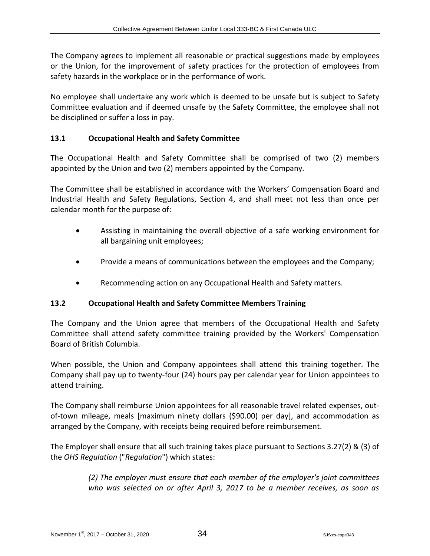The Company agrees to implement all reasonable or practical suggestions made by employees or the Union, for the improvement of safety practices for the protection of employees from safety hazards in the workplace or in the performance of work.

No employee shall undertake any work which is deemed to be unsafe but is subject to Safety Committee evaluation and if deemed unsafe by the Safety Committee, the employee shall not be disciplined or suffer a loss in pay.

## **13.1 Occupational Health and Safety Committee**

The Occupational Health and Safety Committee shall be comprised of two (2) members appointed by the Union and two (2) members appointed by the Company.

The Committee shall be established in accordance with the Workers' Compensation Board and Industrial Health and Safety Regulations, Section 4, and shall meet not less than once per calendar month for the purpose of:

- Assisting in maintaining the overall objective of a safe working environment for all bargaining unit employees;
- Provide a means of communications between the employees and the Company;
- Recommending action on any Occupational Health and Safety matters.

## **13.2 Occupational Health and Safety Committee Members Training**

The Company and the Union agree that members of the Occupational Health and Safety Committee shall attend safety committee training provided by the Workers' Compensation Board of British Columbia.

When possible, the Union and Company appointees shall attend this training together. The Company shall pay up to twenty-four (24) hours pay per calendar year for Union appointees to attend training.

The Company shall reimburse Union appointees for all reasonable travel related expenses, outof-town mileage, meals [maximum ninety dollars (\$90.00) per day], and accommodation as arranged by the Company, with receipts being required before reimbursement.

The Employer shall ensure that all such training takes place pursuant to Sections 3.27(2) & (3) of the *OHS Regulation* ("*Regulation*") which states:

> *(2) The employer must ensure that each member of the employer's joint committees who was selected on or after April 3, 2017 to be a member receives, as soon as*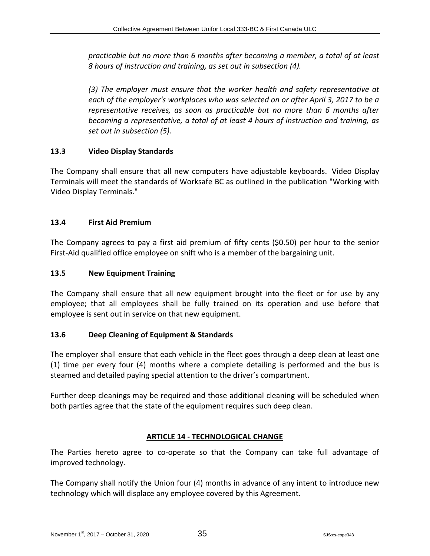*practicable but no more than 6 months after becoming a member, a total of at least 8 hours of instruction and training, as set out in subsection (4).*

*(3) The employer must ensure that the worker health and safety representative at each of the employer's workplaces who was selected on or after April 3, 2017 to be a representative receives, as soon as practicable but no more than 6 months after becoming a representative, a total of at least 4 hours of instruction and training, as set out in subsection (5).*

# **13.3 Video Display Standards**

The Company shall ensure that all new computers have adjustable keyboards. Video Display Terminals will meet the standards of Worksafe BC as outlined in the publication "Working with Video Display Terminals."

# **13.4 First Aid Premium**

The Company agrees to pay a first aid premium of fifty cents (\$0.50) per hour to the senior First-Aid qualified office employee on shift who is a member of the bargaining unit.

## **13.5 New Equipment Training**

The Company shall ensure that all new equipment brought into the fleet or for use by any employee; that all employees shall be fully trained on its operation and use before that employee is sent out in service on that new equipment.

## **13.6 Deep Cleaning of Equipment & Standards**

The employer shall ensure that each vehicle in the fleet goes through a deep clean at least one (1) time per every four (4) months where a complete detailing is performed and the bus is steamed and detailed paying special attention to the driver's compartment.

Further deep cleanings may be required and those additional cleaning will be scheduled when both parties agree that the state of the equipment requires such deep clean.

## **ARTICLE 14 - TECHNOLOGICAL CHANGE**

The Parties hereto agree to co-operate so that the Company can take full advantage of improved technology.

The Company shall notify the Union four (4) months in advance of any intent to introduce new technology which will displace any employee covered by this Agreement.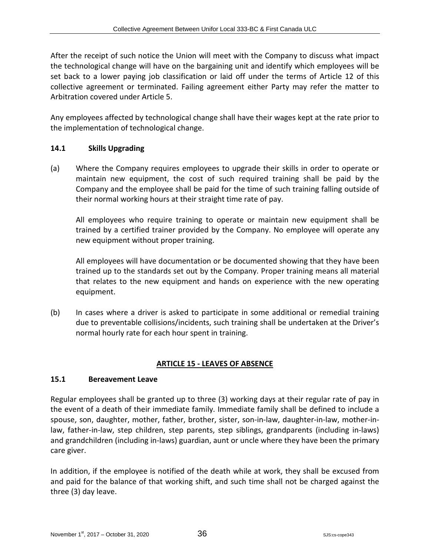After the receipt of such notice the Union will meet with the Company to discuss what impact the technological change will have on the bargaining unit and identify which employees will be set back to a lower paying job classification or laid off under the terms of Article 12 of this collective agreement or terminated. Failing agreement either Party may refer the matter to Arbitration covered under Article 5.

Any employees affected by technological change shall have their wages kept at the rate prior to the implementation of technological change.

## **14.1 Skills Upgrading**

(a) Where the Company requires employees to upgrade their skills in order to operate or maintain new equipment, the cost of such required training shall be paid by the Company and the employee shall be paid for the time of such training falling outside of their normal working hours at their straight time rate of pay.

All employees who require training to operate or maintain new equipment shall be trained by a certified trainer provided by the Company. No employee will operate any new equipment without proper training.

All employees will have documentation or be documented showing that they have been trained up to the standards set out by the Company. Proper training means all material that relates to the new equipment and hands on experience with the new operating equipment.

(b) In cases where a driver is asked to participate in some additional or remedial training due to preventable collisions/incidents, such training shall be undertaken at the Driver's normal hourly rate for each hour spent in training.

## **ARTICLE 15 - LEAVES OF ABSENCE**

## **15.1 Bereavement Leave**

Regular employees shall be granted up to three (3) working days at their regular rate of pay in the event of a death of their immediate family. Immediate family shall be defined to include a spouse, son, daughter, mother, father, brother, sister, son-in-law, daughter-in-law, mother-inlaw, father-in-law, step children, step parents, step siblings, grandparents (including in-laws) and grandchildren (including in-laws) guardian, aunt or uncle where they have been the primary care giver.

In addition, if the employee is notified of the death while at work, they shall be excused from and paid for the balance of that working shift, and such time shall not be charged against the three (3) day leave.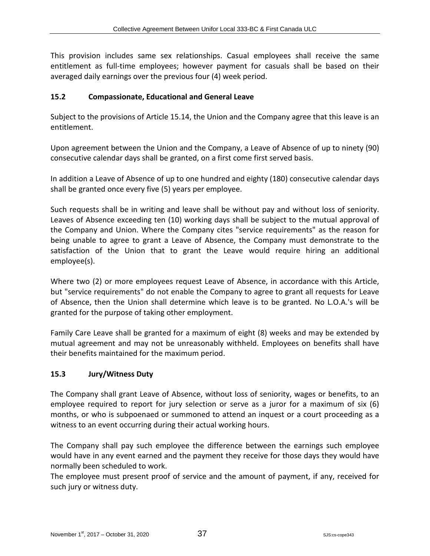This provision includes same sex relationships. Casual employees shall receive the same entitlement as full-time employees; however payment for casuals shall be based on their averaged daily earnings over the previous four (4) week period.

## **15.2 Compassionate, Educational and General Leave**

Subject to the provisions of Article 15.14, the Union and the Company agree that this leave is an entitlement.

Upon agreement between the Union and the Company, a Leave of Absence of up to ninety (90) consecutive calendar days shall be granted, on a first come first served basis.

In addition a Leave of Absence of up to one hundred and eighty (180) consecutive calendar days shall be granted once every five (5) years per employee.

Such requests shall be in writing and leave shall be without pay and without loss of seniority. Leaves of Absence exceeding ten (10) working days shall be subject to the mutual approval of the Company and Union. Where the Company cites "service requirements" as the reason for being unable to agree to grant a Leave of Absence, the Company must demonstrate to the satisfaction of the Union that to grant the Leave would require hiring an additional employee(s).

Where two (2) or more employees request Leave of Absence, in accordance with this Article, but "service requirements" do not enable the Company to agree to grant all requests for Leave of Absence, then the Union shall determine which leave is to be granted. No L.O.A.'s will be granted for the purpose of taking other employment.

Family Care Leave shall be granted for a maximum of eight (8) weeks and may be extended by mutual agreement and may not be unreasonably withheld. Employees on benefits shall have their benefits maintained for the maximum period.

## **15.3 Jury/Witness Duty**

The Company shall grant Leave of Absence, without loss of seniority, wages or benefits, to an employee required to report for jury selection or serve as a juror for a maximum of six (6) months, or who is subpoenaed or summoned to attend an inquest or a court proceeding as a witness to an event occurring during their actual working hours.

The Company shall pay such employee the difference between the earnings such employee would have in any event earned and the payment they receive for those days they would have normally been scheduled to work.

The employee must present proof of service and the amount of payment, if any, received for such jury or witness duty.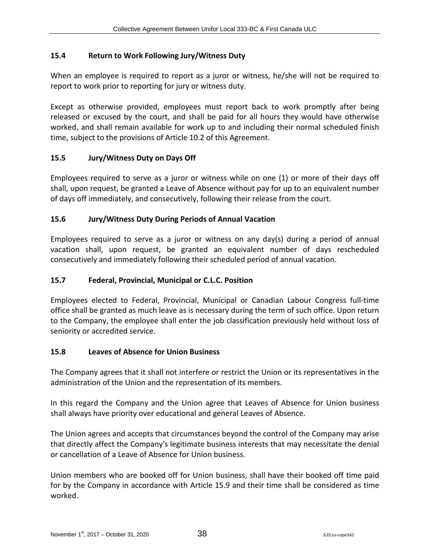# **15.4 Return to Work Following Jury/Witness Duty**

When an employee is required to report as a juror or witness, he/she will not be required to report to work prior to reporting for jury or witness duty.

Except as otherwise provided, employees must report back to work promptly after being released or excused by the court, and shall be paid for all hours they would have otherwise worked, and shall remain available for work up to and including their normal scheduled finish time, subject to the provisions of Article 10.2 of this Agreement.

# **15.5 Jury/Witness Duty on Days Off**

Employees required to serve as a juror or witness while on one (1) or more of their days off shall, upon request, be granted a Leave of Absence without pay for up to an equivalent number of days off immediately, and consecutively, following their release from the court.

# **15.6 Jury/Witness Duty During Periods of Annual Vacation**

Employees required to serve as a juror or witness on any day(s) during a period of annual vacation shall, upon request, be granted an equivalent number of days rescheduled consecutively and immediately following their scheduled period of annual vacation.

## **15.7 Federal, Provincial, Municipal or C.L.C. Position**

Employees elected to Federal, Provincial, Municipal or Canadian Labour Congress full-time office shall be granted as much leave as is necessary during the term of such office. Upon return to the Company, the employee shall enter the job classification previously held without loss of seniority or accredited service.

## **15.8 Leaves of Absence for Union Business**

The Company agrees that it shall not interfere or restrict the Union or its representatives in the administration of the Union and the representation of its members.

In this regard the Company and the Union agree that Leaves of Absence for Union business shall always have priority over educational and general Leaves of Absence.

The Union agrees and accepts that circumstances beyond the control of the Company may arise that directly affect the Company's legitimate business interests that may necessitate the denial or cancellation of a Leave of Absence for Union business.

Union members who are booked off for Union business, shall have their booked off time paid for by the Company in accordance with Article 15.9 and their time shall be considered as time worked.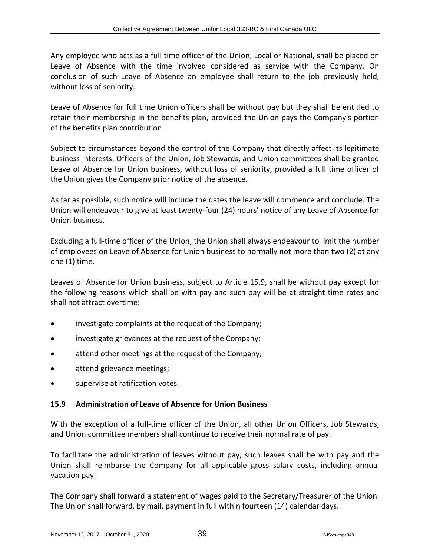Any employee who acts as a full time officer of the Union, Local or National, shall be placed on Leave of Absence with the time involved considered as service with the Company. On conclusion of such Leave of Absence an employee shall return to the job previously held, without loss of seniority.

Leave of Absence for full time Union officers shall be without pay but they shall be entitled to retain their membership in the benefits plan, provided the Union pays the Company's portion of the benefits plan contribution.

Subject to circumstances beyond the control of the Company that directly affect its legitimate business interests, Officers of the Union, Job Stewards, and Union committees shall be granted Leave of Absence for Union business, without loss of seniority, provided a full time officer of the Union gives the Company prior notice of the absence.

As far as possible, such notice will include the dates the leave will commence and conclude. The Union will endeavour to give at least twenty-four (24) hours' notice of any Leave of Absence for Union business.

Excluding a full-time officer of the Union, the Union shall always endeavour to limit the number of employees on Leave of Absence for Union business to normally not more than two (2) at any one (1) time.

Leaves of Absence for Union business, subject to Article 15.9, shall be without pay except for the following reasons which shall be with pay and such pay will be at straight time rates and shall not attract overtime:

- investigate complaints at the request of the Company;
- investigate grievances at the request of the Company;
- attend other meetings at the request of the Company;
- attend grievance meetings;
- supervise at ratification votes.

## **15.9 Administration of Leave of Absence for Union Business**

With the exception of a full-time officer of the Union, all other Union Officers, Job Stewards, and Union committee members shall continue to receive their normal rate of pay.

To facilitate the administration of leaves without pay, such leaves shall be with pay and the Union shall reimburse the Company for all applicable gross salary costs, including annual vacation pay.

The Company shall forward a statement of wages paid to the Secretary/Treasurer of the Union. The Union shall forward, by mail, payment in full within fourteen (14) calendar days.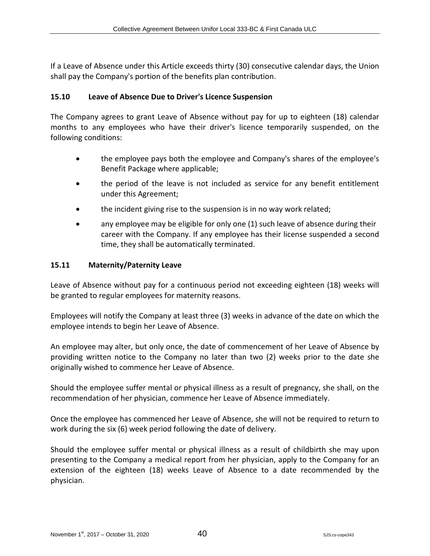If a Leave of Absence under this Article exceeds thirty (30) consecutive calendar days, the Union shall pay the Company's portion of the benefits plan contribution.

#### **15.10 Leave of Absence Due to Driver's Licence Suspension**

The Company agrees to grant Leave of Absence without pay for up to eighteen (18) calendar months to any employees who have their driver's licence temporarily suspended, on the following conditions:

- the employee pays both the employee and Company's shares of the employee's Benefit Package where applicable;
- the period of the leave is not included as service for any benefit entitlement under this Agreement;
- the incident giving rise to the suspension is in no way work related;
- any employee may be eligible for only one (1) such leave of absence during their career with the Company. If any employee has their license suspended a second time, they shall be automatically terminated.

#### **15.11 Maternity/Paternity Leave**

Leave of Absence without pay for a continuous period not exceeding eighteen (18) weeks will be granted to regular employees for maternity reasons.

Employees will notify the Company at least three (3) weeks in advance of the date on which the employee intends to begin her Leave of Absence.

An employee may alter, but only once, the date of commencement of her Leave of Absence by providing written notice to the Company no later than two (2) weeks prior to the date she originally wished to commence her Leave of Absence.

Should the employee suffer mental or physical illness as a result of pregnancy, she shall, on the recommendation of her physician, commence her Leave of Absence immediately.

Once the employee has commenced her Leave of Absence, she will not be required to return to work during the six (6) week period following the date of delivery.

Should the employee suffer mental or physical illness as a result of childbirth she may upon presenting to the Company a medical report from her physician, apply to the Company for an extension of the eighteen (18) weeks Leave of Absence to a date recommended by the physician.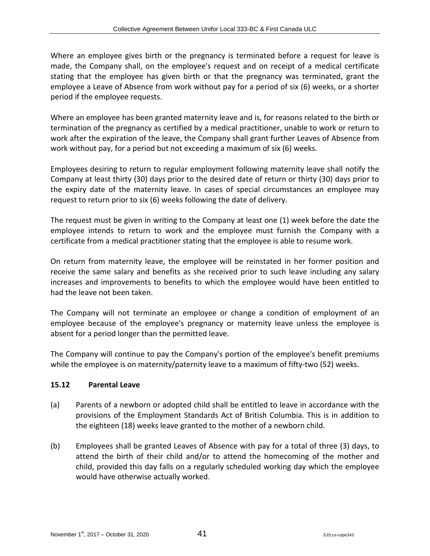Where an employee gives birth or the pregnancy is terminated before a request for leave is made, the Company shall, on the employee's request and on receipt of a medical certificate stating that the employee has given birth or that the pregnancy was terminated, grant the employee a Leave of Absence from work without pay for a period of six (6) weeks, or a shorter period if the employee requests.

Where an employee has been granted maternity leave and is, for reasons related to the birth or termination of the pregnancy as certified by a medical practitioner, unable to work or return to work after the expiration of the leave, the Company shall grant further Leaves of Absence from work without pay, for a period but not exceeding a maximum of six (6) weeks.

Employees desiring to return to regular employment following maternity leave shall notify the Company at least thirty (30) days prior to the desired date of return or thirty (30) days prior to the expiry date of the maternity leave. In cases of special circumstances an employee may request to return prior to six (6) weeks following the date of delivery.

The request must be given in writing to the Company at least one (1) week before the date the employee intends to return to work and the employee must furnish the Company with a certificate from a medical practitioner stating that the employee is able to resume work.

On return from maternity leave, the employee will be reinstated in her former position and receive the same salary and benefits as she received prior to such leave including any salary increases and improvements to benefits to which the employee would have been entitled to had the leave not been taken.

The Company will not terminate an employee or change a condition of employment of an employee because of the employee's pregnancy or maternity leave unless the employee is absent for a period longer than the permitted leave.

The Company will continue to pay the Company's portion of the employee's benefit premiums while the employee is on maternity/paternity leave to a maximum of fifty-two (52) weeks.

# **15.12 Parental Leave**

- (a) Parents of a newborn or adopted child shall be entitled to leave in accordance with the provisions of the Employment Standards Act of British Columbia. This is in addition to the eighteen (18) weeks leave granted to the mother of a newborn child.
- (b) Employees shall be granted Leaves of Absence with pay for a total of three (3) days, to attend the birth of their child and/or to attend the homecoming of the mother and child, provided this day falls on a regularly scheduled working day which the employee would have otherwise actually worked.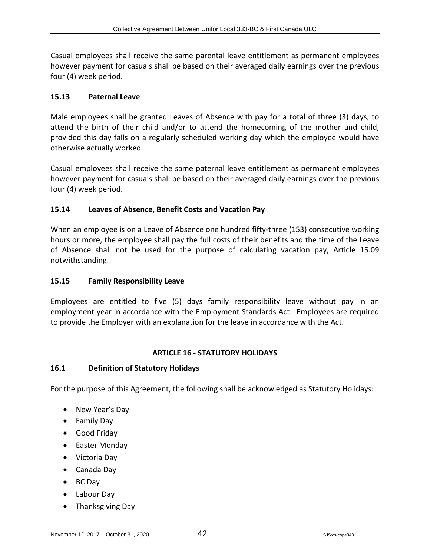Casual employees shall receive the same parental leave entitlement as permanent employees however payment for casuals shall be based on their averaged daily earnings over the previous four (4) week period.

# **15.13 Paternal Leave**

Male employees shall be granted Leaves of Absence with pay for a total of three (3) days, to attend the birth of their child and/or to attend the homecoming of the mother and child, provided this day falls on a regularly scheduled working day which the employee would have otherwise actually worked.

Casual employees shall receive the same paternal leave entitlement as permanent employees however payment for casuals shall be based on their averaged daily earnings over the previous four (4) week period.

# **15.14 Leaves of Absence, Benefit Costs and Vacation Pay**

When an employee is on a Leave of Absence one hundred fifty-three (153) consecutive working hours or more, the employee shall pay the full costs of their benefits and the time of the Leave of Absence shall not be used for the purpose of calculating vacation pay, Article 15.09 notwithstanding.

## **15.15 Family Responsibility Leave**

Employees are entitled to five (5) days family responsibility leave without pay in an employment year in accordance with the Employment Standards Act. Employees are required to provide the Employer with an explanation for the leave in accordance with the Act.

# **ARTICLE 16 - STATUTORY HOLIDAYS**

## **16.1 Definition of Statutory Holidays**

For the purpose of this Agreement, the following shall be acknowledged as Statutory Holidays:

- New Year's Day
- Family Day
- Good Friday
- Easter Monday
- Victoria Day
- Canada Day
- BC Day
- Labour Day
- Thanksgiving Day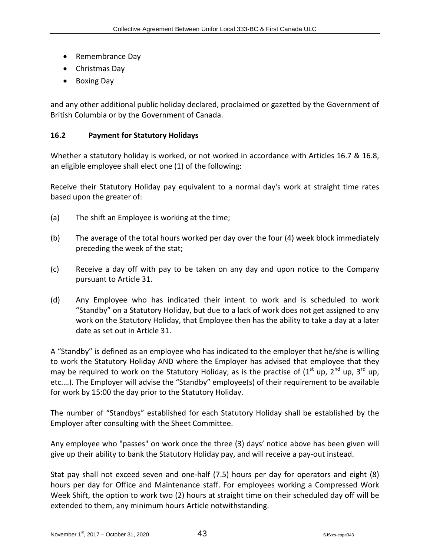- Remembrance Day
- Christmas Day
- Boxing Day

and any other additional public holiday declared, proclaimed or gazetted by the Government of British Columbia or by the Government of Canada.

## **16.2 Payment for Statutory Holidays**

Whether a statutory holiday is worked, or not worked in accordance with Articles 16.7 & 16.8, an eligible employee shall elect one (1) of the following:

Receive their Statutory Holiday pay equivalent to a normal day's work at straight time rates based upon the greater of:

- (a) The shift an Employee is working at the time;
- (b) The average of the total hours worked per day over the four (4) week block immediately preceding the week of the stat;
- (c) Receive a day off with pay to be taken on any day and upon notice to the Company pursuant to Article 31.
- (d) Any Employee who has indicated their intent to work and is scheduled to work "Standby" on a Statutory Holiday, but due to a lack of work does not get assigned to any work on the Statutory Holiday, that Employee then has the ability to take a day at a later date as set out in Article 31.

A "Standby" is defined as an employee who has indicated to the employer that he/she is willing to work the Statutory Holiday AND where the Employer has advised that employee that they may be required to work on the Statutory Holiday; as is the practise of  $(1<sup>st</sup>$  up,  $2<sup>nd</sup>$  up,  $3<sup>rd</sup>$  up, etc.…). The Employer will advise the "Standby" employee(s) of their requirement to be available for work by 15:00 the day prior to the Statutory Holiday.

The number of "Standbys" established for each Statutory Holiday shall be established by the Employer after consulting with the Sheet Committee.

Any employee who "passes" on work once the three (3) days' notice above has been given will give up their ability to bank the Statutory Holiday pay, and will receive a pay-out instead.

Stat pay shall not exceed seven and one-half (7.5) hours per day for operators and eight (8) hours per day for Office and Maintenance staff. For employees working a Compressed Work Week Shift, the option to work two (2) hours at straight time on their scheduled day off will be extended to them, any minimum hours Article notwithstanding.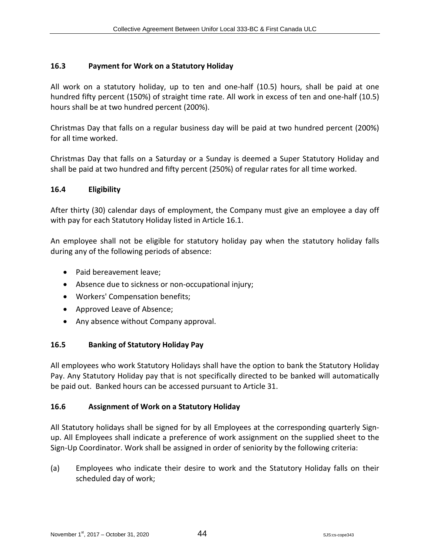#### **16.3 Payment for Work on a Statutory Holiday**

All work on a statutory holiday, up to ten and one-half (10.5) hours, shall be paid at one hundred fifty percent (150%) of straight time rate. All work in excess of ten and one-half (10.5) hours shall be at two hundred percent (200%).

Christmas Day that falls on a regular business day will be paid at two hundred percent (200%) for all time worked.

Christmas Day that falls on a Saturday or a Sunday is deemed a Super Statutory Holiday and shall be paid at two hundred and fifty percent (250%) of regular rates for all time worked.

#### **16.4 Eligibility**

After thirty (30) calendar days of employment, the Company must give an employee a day off with pay for each Statutory Holiday listed in Article 16.1.

An employee shall not be eligible for statutory holiday pay when the statutory holiday falls during any of the following periods of absence:

- Paid bereavement leave:
- Absence due to sickness or non-occupational injury;
- Workers' Compensation benefits;
- Approved Leave of Absence;
- Any absence without Company approval.

#### **16.5 Banking of Statutory Holiday Pay**

All employees who work Statutory Holidays shall have the option to bank the Statutory Holiday Pay. Any Statutory Holiday pay that is not specifically directed to be banked will automatically be paid out. Banked hours can be accessed pursuant to Article 31.

## **16.6 Assignment of Work on a Statutory Holiday**

All Statutory holidays shall be signed for by all Employees at the corresponding quarterly Signup. All Employees shall indicate a preference of work assignment on the supplied sheet to the Sign-Up Coordinator. Work shall be assigned in order of seniority by the following criteria:

(a) Employees who indicate their desire to work and the Statutory Holiday falls on their scheduled day of work;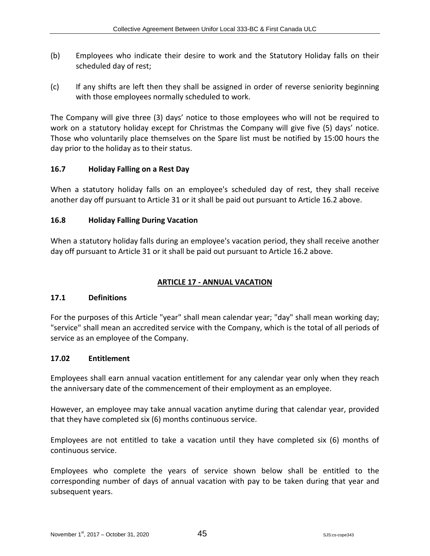- (b) Employees who indicate their desire to work and the Statutory Holiday falls on their scheduled day of rest;
- (c) If any shifts are left then they shall be assigned in order of reverse seniority beginning with those employees normally scheduled to work.

The Company will give three (3) days' notice to those employees who will not be required to work on a statutory holiday except for Christmas the Company will give five (5) days' notice. Those who voluntarily place themselves on the Spare list must be notified by 15:00 hours the day prior to the holiday as to their status.

## **16.7 Holiday Falling on a Rest Day**

When a statutory holiday falls on an employee's scheduled day of rest, they shall receive another day off pursuant to Article 31 or it shall be paid out pursuant to Article 16.2 above.

# **16.8 Holiday Falling During Vacation**

When a statutory holiday falls during an employee's vacation period, they shall receive another day off pursuant to Article 31 or it shall be paid out pursuant to Article 16.2 above.

## **ARTICLE 17 - ANNUAL VACATION**

## **17.1 Definitions**

For the purposes of this Article "year" shall mean calendar year; "day" shall mean working day; "service" shall mean an accredited service with the Company, which is the total of all periods of service as an employee of the Company.

## **17.02 Entitlement**

Employees shall earn annual vacation entitlement for any calendar year only when they reach the anniversary date of the commencement of their employment as an employee.

However, an employee may take annual vacation anytime during that calendar year, provided that they have completed six (6) months continuous service.

Employees are not entitled to take a vacation until they have completed six (6) months of continuous service.

Employees who complete the years of service shown below shall be entitled to the corresponding number of days of annual vacation with pay to be taken during that year and subsequent years.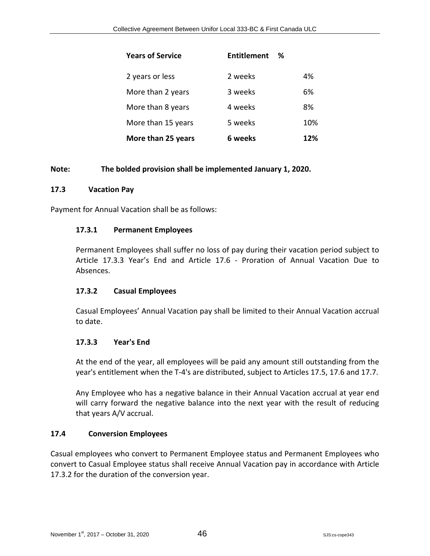| <b>Years of Service</b> | <b>Entitlement</b><br>℅ |     |
|-------------------------|-------------------------|-----|
| 2 years or less         | 2 weeks                 | 4%  |
| More than 2 years       | 3 weeks                 | 6%  |
| More than 8 years       | 4 weeks                 | 8%  |
| More than 15 years      | 5 weeks                 | 10% |
| More than 25 years      | 6 weeks                 | 12% |

#### **Note: The bolded provision shall be implemented January 1, 2020.**

#### **17.3 Vacation Pay**

Payment for Annual Vacation shall be as follows:

#### **17.3.1 Permanent Employees**

Permanent Employees shall suffer no loss of pay during their vacation period subject to Article 17.3.3 Year's End and Article 17.6 - Proration of Annual Vacation Due to Absences.

#### **17.3.2 Casual Employees**

Casual Employees' Annual Vacation pay shall be limited to their Annual Vacation accrual to date.

#### **17.3.3 Year's End**

At the end of the year, all employees will be paid any amount still outstanding from the year's entitlement when the T-4's are distributed, subject to Articles 17.5, 17.6 and 17.7.

Any Employee who has a negative balance in their Annual Vacation accrual at year end will carry forward the negative balance into the next year with the result of reducing that years A/V accrual.

#### **17.4 Conversion Employees**

Casual employees who convert to Permanent Employee status and Permanent Employees who convert to Casual Employee status shall receive Annual Vacation pay in accordance with Article 17.3.2 for the duration of the conversion year.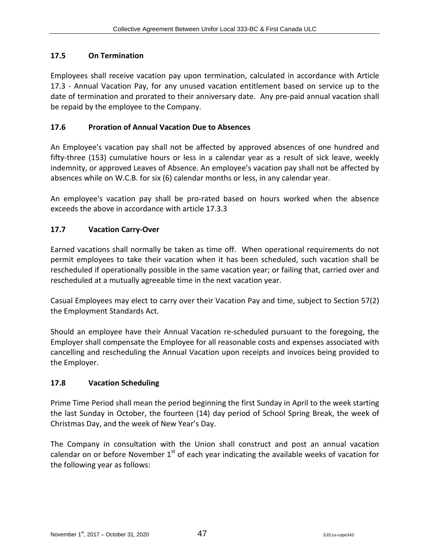# **17.5 On Termination**

Employees shall receive vacation pay upon termination, calculated in accordance with Article 17.3 - Annual Vacation Pay, for any unused vacation entitlement based on service up to the date of termination and prorated to their anniversary date. Any pre-paid annual vacation shall be repaid by the employee to the Company.

# **17.6 Proration of Annual Vacation Due to Absences**

An Employee's vacation pay shall not be affected by approved absences of one hundred and fifty-three (153) cumulative hours or less in a calendar year as a result of sick leave, weekly indemnity, or approved Leaves of Absence. An employee's vacation pay shall not be affected by absences while on W.C.B. for six (6) calendar months or less, in any calendar year.

An employee's vacation pay shall be pro-rated based on hours worked when the absence exceeds the above in accordance with article 17.3.3

# **17.7 Vacation Carry-Over**

Earned vacations shall normally be taken as time off. When operational requirements do not permit employees to take their vacation when it has been scheduled, such vacation shall be rescheduled if operationally possible in the same vacation year; or failing that, carried over and rescheduled at a mutually agreeable time in the next vacation year.

Casual Employees may elect to carry over their Vacation Pay and time, subject to Section 57(2) the Employment Standards Act.

Should an employee have their Annual Vacation re-scheduled pursuant to the foregoing, the Employer shall compensate the Employee for all reasonable costs and expenses associated with cancelling and rescheduling the Annual Vacation upon receipts and invoices being provided to the Employer.

# **17.8 Vacation Scheduling**

Prime Time Period shall mean the period beginning the first Sunday in April to the week starting the last Sunday in October, the fourteen (14) day period of School Spring Break, the week of Christmas Day, and the week of New Year's Day.

The Company in consultation with the Union shall construct and post an annual vacation calendar on or before November  $1<sup>st</sup>$  of each year indicating the available weeks of vacation for the following year as follows: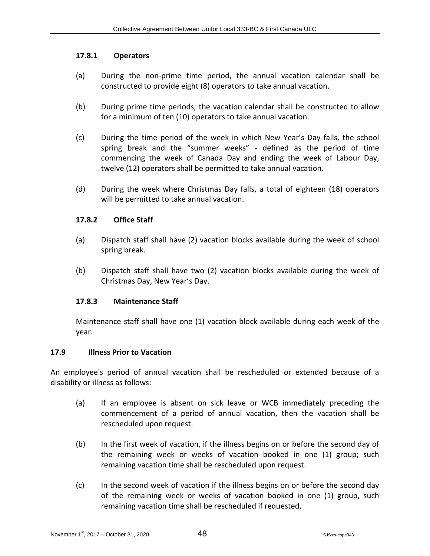#### **17.8.1 Operators**

- (a) During the non-prime time period, the annual vacation calendar shall be constructed to provide eight (8) operators to take annual vacation.
- (b) During prime time periods, the vacation calendar shall be constructed to allow for a minimum of ten (10) operators to take annual vacation.
- (c) During the time period of the week in which New Year's Day falls, the school spring break and the "summer weeks" - defined as the period of time commencing the week of Canada Day and ending the week of Labour Day, twelve (12) operators shall be permitted to take annual vacation.
- (d) During the week where Christmas Day falls, a total of eighteen (18) operators will be permitted to take annual vacation.

#### **17.8.2 Office Staff**

- (a) Dispatch staff shall have (2) vacation blocks available during the week of school spring break.
- (b) Dispatch staff shall have two (2) vacation blocks available during the week of Christmas Day, New Year's Day.

## **17.8.3 Maintenance Staff**

Maintenance staff shall have one (1) vacation block available during each week of the year.

#### **17.9 Illness Prior to Vacation**

An employee's period of annual vacation shall be rescheduled or extended because of a disability or illness as follows:

- (a) If an employee is absent on sick leave or WCB immediately preceding the commencement of a period of annual vacation, then the vacation shall be rescheduled upon request.
- (b) In the first week of vacation, if the illness begins on or before the second day of the remaining week or weeks of vacation booked in one (1) group; such remaining vacation time shall be rescheduled upon request.
- (c) In the second week of vacation if the illness begins on or before the second day of the remaining week or weeks of vacation booked in one (1) group, such remaining vacation time shall be rescheduled if requested.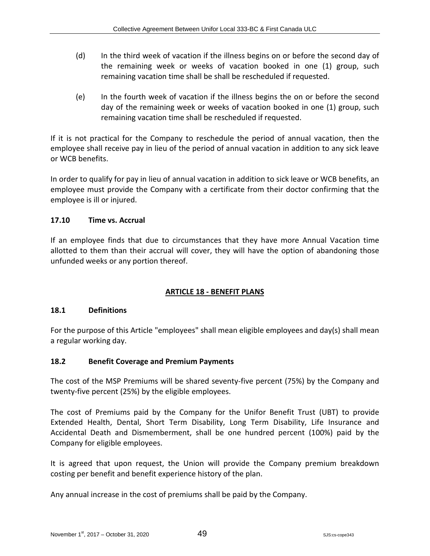- (d) In the third week of vacation if the illness begins on or before the second day of the remaining week or weeks of vacation booked in one (1) group, such remaining vacation time shall be shall be rescheduled if requested.
- (e) In the fourth week of vacation if the illness begins the on or before the second day of the remaining week or weeks of vacation booked in one (1) group, such remaining vacation time shall be rescheduled if requested.

If it is not practical for the Company to reschedule the period of annual vacation, then the employee shall receive pay in lieu of the period of annual vacation in addition to any sick leave or WCB benefits.

In order to qualify for pay in lieu of annual vacation in addition to sick leave or WCB benefits, an employee must provide the Company with a certificate from their doctor confirming that the employee is ill or injured.

# **17.10 Time vs. Accrual**

If an employee finds that due to circumstances that they have more Annual Vacation time allotted to them than their accrual will cover, they will have the option of abandoning those unfunded weeks or any portion thereof.

# **ARTICLE 18 - BENEFIT PLANS**

## **18.1 Definitions**

For the purpose of this Article "employees" shall mean eligible employees and day(s) shall mean a regular working day.

## **18.2 Benefit Coverage and Premium Payments**

The cost of the MSP Premiums will be shared seventy-five percent (75%) by the Company and twenty-five percent (25%) by the eligible employees.

The cost of Premiums paid by the Company for the Unifor Benefit Trust (UBT) to provide Extended Health, Dental, Short Term Disability, Long Term Disability, Life Insurance and Accidental Death and Dismemberment, shall be one hundred percent (100%) paid by the Company for eligible employees.

It is agreed that upon request, the Union will provide the Company premium breakdown costing per benefit and benefit experience history of the plan.

Any annual increase in the cost of premiums shall be paid by the Company.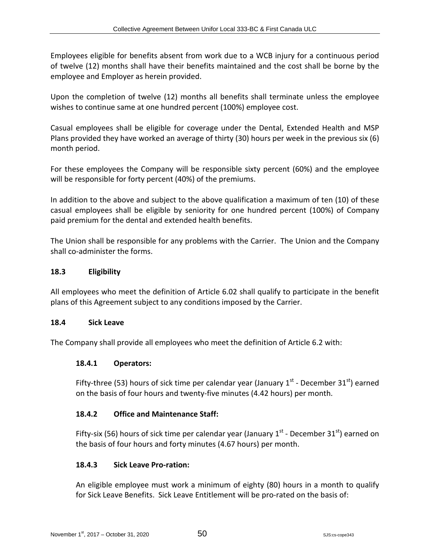Employees eligible for benefits absent from work due to a WCB injury for a continuous period of twelve (12) months shall have their benefits maintained and the cost shall be borne by the employee and Employer as herein provided.

Upon the completion of twelve (12) months all benefits shall terminate unless the employee wishes to continue same at one hundred percent (100%) employee cost.

Casual employees shall be eligible for coverage under the Dental, Extended Health and MSP Plans provided they have worked an average of thirty (30) hours per week in the previous six (6) month period.

For these employees the Company will be responsible sixty percent (60%) and the employee will be responsible for forty percent (40%) of the premiums.

In addition to the above and subject to the above qualification a maximum of ten (10) of these casual employees shall be eligible by seniority for one hundred percent (100%) of Company paid premium for the dental and extended health benefits.

The Union shall be responsible for any problems with the Carrier. The Union and the Company shall co-administer the forms.

## **18.3 Eligibility**

All employees who meet the definition of Article 6.02 shall qualify to participate in the benefit plans of this Agreement subject to any conditions imposed by the Carrier.

## **18.4 Sick Leave**

The Company shall provide all employees who meet the definition of Article 6.2 with:

## **18.4.1 Operators:**

Fifty-three (53) hours of sick time per calendar year (January  $1<sup>st</sup>$  - December 31 $<sup>st</sup>$ ) earned</sup> on the basis of four hours and twenty-five minutes (4.42 hours) per month.

## **18.4.2 Office and Maintenance Staff:**

Fifty-six (56) hours of sick time per calendar year (January  $1^{st}$  - December  $31^{st}$ ) earned on the basis of four hours and forty minutes (4.67 hours) per month.

## **18.4.3 Sick Leave Pro-ration:**

An eligible employee must work a minimum of eighty (80) hours in a month to qualify for Sick Leave Benefits. Sick Leave Entitlement will be pro-rated on the basis of: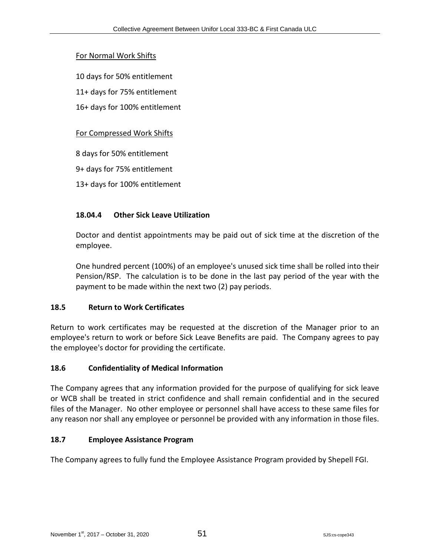#### For Normal Work Shifts

- 10 days for 50% entitlement
- 11+ days for 75% entitlement
- 16+ days for 100% entitlement

#### For Compressed Work Shifts

- 8 days for 50% entitlement
- 9+ days for 75% entitlement
- 13+ days for 100% entitlement

#### **18.04.4 Other Sick Leave Utilization**

Doctor and dentist appointments may be paid out of sick time at the discretion of the employee.

One hundred percent (100%) of an employee's unused sick time shall be rolled into their Pension/RSP. The calculation is to be done in the last pay period of the year with the payment to be made within the next two (2) pay periods.

#### **18.5 Return to Work Certificates**

Return to work certificates may be requested at the discretion of the Manager prior to an employee's return to work or before Sick Leave Benefits are paid. The Company agrees to pay the employee's doctor for providing the certificate.

#### **18.6 Confidentiality of Medical Information**

The Company agrees that any information provided for the purpose of qualifying for sick leave or WCB shall be treated in strict confidence and shall remain confidential and in the secured files of the Manager. No other employee or personnel shall have access to these same files for any reason nor shall any employee or personnel be provided with any information in those files.

## **18.7 Employee Assistance Program**

The Company agrees to fully fund the Employee Assistance Program provided by Shepell FGI.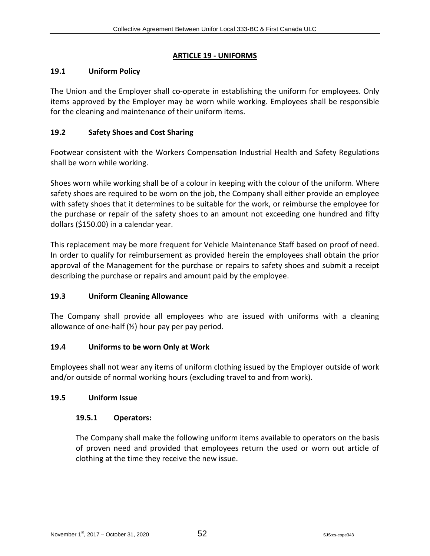#### **ARTICLE 19 - UNIFORMS**

#### **19.1 Uniform Policy**

The Union and the Employer shall co-operate in establishing the uniform for employees. Only items approved by the Employer may be worn while working. Employees shall be responsible for the cleaning and maintenance of their uniform items.

## **19.2 Safety Shoes and Cost Sharing**

Footwear consistent with the Workers Compensation Industrial Health and Safety Regulations shall be worn while working.

Shoes worn while working shall be of a colour in keeping with the colour of the uniform. Where safety shoes are required to be worn on the job, the Company shall either provide an employee with safety shoes that it determines to be suitable for the work, or reimburse the employee for the purchase or repair of the safety shoes to an amount not exceeding one hundred and fifty dollars (\$150.00) in a calendar year.

This replacement may be more frequent for Vehicle Maintenance Staff based on proof of need. In order to qualify for reimbursement as provided herein the employees shall obtain the prior approval of the Management for the purchase or repairs to safety shoes and submit a receipt describing the purchase or repairs and amount paid by the employee.

## **19.3 Uniform Cleaning Allowance**

The Company shall provide all employees who are issued with uniforms with a cleaning allowance of one-half  $(\frac{1}{2})$  hour pay per pay period.

## **19.4 Uniforms to be worn Only at Work**

Employees shall not wear any items of uniform clothing issued by the Employer outside of work and/or outside of normal working hours (excluding travel to and from work).

#### **19.5 Uniform Issue**

#### **19.5.1 Operators:**

The Company shall make the following uniform items available to operators on the basis of proven need and provided that employees return the used or worn out article of clothing at the time they receive the new issue.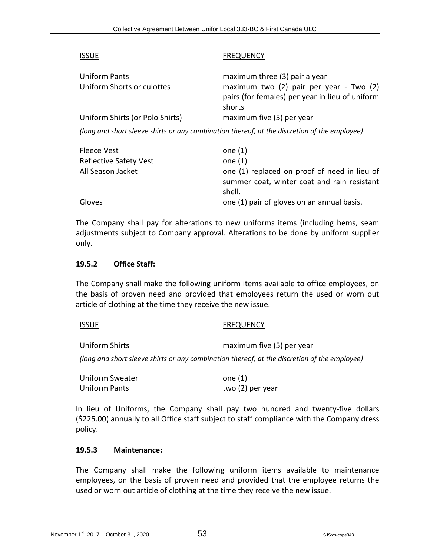| <b>ISSUE</b>                                                                                 | <b>FREQUENCY</b>                                                                                     |  |  |
|----------------------------------------------------------------------------------------------|------------------------------------------------------------------------------------------------------|--|--|
| Uniform Pants                                                                                | maximum three (3) pair a year                                                                        |  |  |
| Uniform Shorts or culottes                                                                   | maximum two (2) pair per year - Two (2)<br>pairs (for females) per year in lieu of uniform<br>shorts |  |  |
| Uniform Shirts (or Polo Shirts)                                                              | maximum five (5) per year                                                                            |  |  |
| (long and short sleeve shirts or any combination thereof, at the discretion of the employee) |                                                                                                      |  |  |
| Fleece Vest                                                                                  | one $(1)$                                                                                            |  |  |
| Reflective Safety Vest                                                                       | one $(1)$                                                                                            |  |  |
| All Season Jacket                                                                            | one (1) replaced on proof of need in lieu of<br>summer coat, winter coat and rain resistant          |  |  |

Gloves **Gloves one (1) pair of gloves on an annual basis.** 

The Company shall pay for alterations to new uniforms items (including hems, seam adjustments subject to Company approval. Alterations to be done by uniform supplier only.

shell.

#### **19.5.2 Office Staff:**

The Company shall make the following uniform items available to office employees, on the basis of proven need and provided that employees return the used or worn out article of clothing at the time they receive the new issue.

ISSUE FREQUENCY

Uniform Shirts **maximum** five (5) per year

*(long and short sleeve shirts or any combination thereof, at the discretion of the employee)*

| <b>Uniform Sweater</b> | one $(1)$        |
|------------------------|------------------|
| Uniform Pants          | two (2) per year |

In lieu of Uniforms, the Company shall pay two hundred and twenty-five dollars (\$225.00) annually to all Office staff subject to staff compliance with the Company dress policy.

#### **19.5.3 Maintenance:**

The Company shall make the following uniform items available to maintenance employees, on the basis of proven need and provided that the employee returns the used or worn out article of clothing at the time they receive the new issue.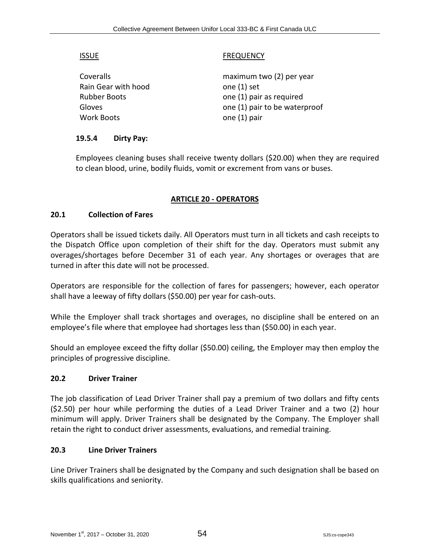#### ISSUE FREQUENCY

Coveralls maximum two (2) per year Rain Gear with hood one (1) set Rubber Boots one (1) pair as required Gloves one (1) pair to be waterproof Work Boots one (1) pair

## **19.5.4 Dirty Pay:**

Employees cleaning buses shall receive twenty dollars (\$20.00) when they are required to clean blood, urine, bodily fluids, vomit or excrement from vans or buses.

## **ARTICLE 20 - OPERATORS**

#### **20.1 Collection of Fares**

Operators shall be issued tickets daily. All Operators must turn in all tickets and cash receipts to the Dispatch Office upon completion of their shift for the day. Operators must submit any overages/shortages before December 31 of each year. Any shortages or overages that are turned in after this date will not be processed.

Operators are responsible for the collection of fares for passengers; however, each operator shall have a leeway of fifty dollars (\$50.00) per year for cash-outs.

While the Employer shall track shortages and overages, no discipline shall be entered on an employee's file where that employee had shortages less than (\$50.00) in each year.

Should an employee exceed the fifty dollar (\$50.00) ceiling, the Employer may then employ the principles of progressive discipline.

#### **20.2 Driver Trainer**

The job classification of Lead Driver Trainer shall pay a premium of two dollars and fifty cents (\$2.50) per hour while performing the duties of a Lead Driver Trainer and a two (2) hour minimum will apply. Driver Trainers shall be designated by the Company. The Employer shall retain the right to conduct driver assessments, evaluations, and remedial training.

#### **20.3 Line Driver Trainers**

Line Driver Trainers shall be designated by the Company and such designation shall be based on skills qualifications and seniority.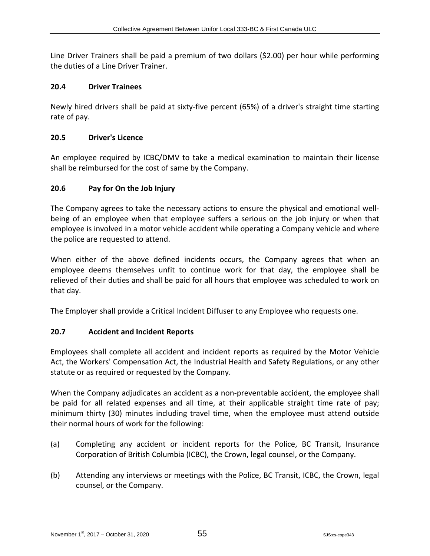Line Driver Trainers shall be paid a premium of two dollars (\$2.00) per hour while performing the duties of a Line Driver Trainer.

#### **20.4 Driver Trainees**

Newly hired drivers shall be paid at sixty-five percent (65%) of a driver's straight time starting rate of pay.

#### **20.5 Driver's Licence**

An employee required by ICBC/DMV to take a medical examination to maintain their license shall be reimbursed for the cost of same by the Company.

#### **20.6 Pay for On the Job Injury**

The Company agrees to take the necessary actions to ensure the physical and emotional wellbeing of an employee when that employee suffers a serious on the job injury or when that employee is involved in a motor vehicle accident while operating a Company vehicle and where the police are requested to attend.

When either of the above defined incidents occurs, the Company agrees that when an employee deems themselves unfit to continue work for that day, the employee shall be relieved of their duties and shall be paid for all hours that employee was scheduled to work on that day.

The Employer shall provide a Critical Incident Diffuser to any Employee who requests one.

## **20.7 Accident and Incident Reports**

Employees shall complete all accident and incident reports as required by the Motor Vehicle Act, the Workers' Compensation Act, the Industrial Health and Safety Regulations, or any other statute or as required or requested by the Company.

When the Company adjudicates an accident as a non-preventable accident, the employee shall be paid for all related expenses and all time, at their applicable straight time rate of pay; minimum thirty (30) minutes including travel time, when the employee must attend outside their normal hours of work for the following:

- (a) Completing any accident or incident reports for the Police, BC Transit, Insurance Corporation of British Columbia (ICBC), the Crown, legal counsel, or the Company.
- (b) Attending any interviews or meetings with the Police, BC Transit, ICBC, the Crown, legal counsel, or the Company.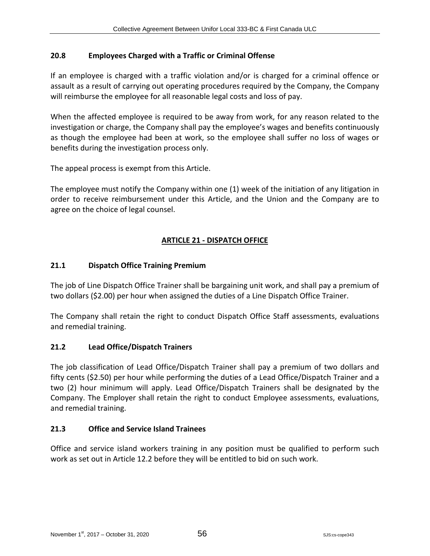# **20.8 Employees Charged with a Traffic or Criminal Offense**

If an employee is charged with a traffic violation and/or is charged for a criminal offence or assault as a result of carrying out operating procedures required by the Company, the Company will reimburse the employee for all reasonable legal costs and loss of pay.

When the affected employee is required to be away from work, for any reason related to the investigation or charge, the Company shall pay the employee's wages and benefits continuously as though the employee had been at work, so the employee shall suffer no loss of wages or benefits during the investigation process only.

The appeal process is exempt from this Article.

The employee must notify the Company within one (1) week of the initiation of any litigation in order to receive reimbursement under this Article, and the Union and the Company are to agree on the choice of legal counsel.

# **ARTICLE 21 - DISPATCH OFFICE**

## **21.1 Dispatch Office Training Premium**

The job of Line Dispatch Office Trainer shall be bargaining unit work, and shall pay a premium of two dollars (\$2.00) per hour when assigned the duties of a Line Dispatch Office Trainer.

The Company shall retain the right to conduct Dispatch Office Staff assessments, evaluations and remedial training.

## **21.2 Lead Office/Dispatch Trainers**

The job classification of Lead Office/Dispatch Trainer shall pay a premium of two dollars and fifty cents (\$2.50) per hour while performing the duties of a Lead Office/Dispatch Trainer and a two (2) hour minimum will apply. Lead Office/Dispatch Trainers shall be designated by the Company. The Employer shall retain the right to conduct Employee assessments, evaluations, and remedial training.

## **21.3 Office and Service Island Trainees**

Office and service island workers training in any position must be qualified to perform such work as set out in Article 12.2 before they will be entitled to bid on such work.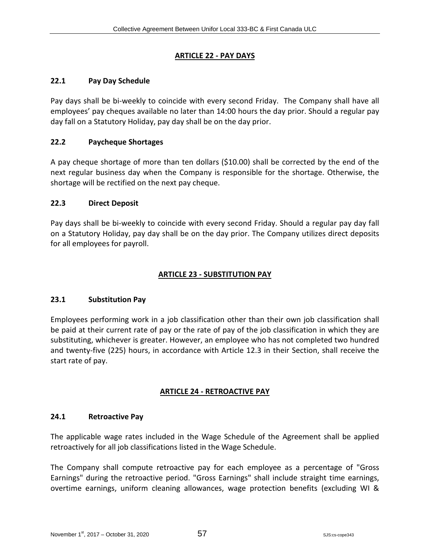## **ARTICLE 22 - PAY DAYS**

## **22.1 Pay Day Schedule**

Pay days shall be bi-weekly to coincide with every second Friday. The Company shall have all employees' pay cheques available no later than 14:00 hours the day prior. Should a regular pay day fall on a Statutory Holiday, pay day shall be on the day prior.

## **22.2 Paycheque Shortages**

A pay cheque shortage of more than ten dollars (\$10.00) shall be corrected by the end of the next regular business day when the Company is responsible for the shortage. Otherwise, the shortage will be rectified on the next pay cheque.

## **22.3 Direct Deposit**

Pay days shall be bi-weekly to coincide with every second Friday. Should a regular pay day fall on a Statutory Holiday, pay day shall be on the day prior. The Company utilizes direct deposits for all employees for payroll.

# **ARTICLE 23 - SUBSTITUTION PAY**

## **23.1 Substitution Pay**

Employees performing work in a job classification other than their own job classification shall be paid at their current rate of pay or the rate of pay of the job classification in which they are substituting, whichever is greater. However, an employee who has not completed two hundred and twenty-five (225) hours, in accordance with Article 12.3 in their Section, shall receive the start rate of pay.

# **ARTICLE 24 - RETROACTIVE PAY**

## **24.1 Retroactive Pay**

The applicable wage rates included in the Wage Schedule of the Agreement shall be applied retroactively for all job classifications listed in the Wage Schedule.

The Company shall compute retroactive pay for each employee as a percentage of "Gross Earnings" during the retroactive period. "Gross Earnings" shall include straight time earnings, overtime earnings, uniform cleaning allowances, wage protection benefits (excluding WI &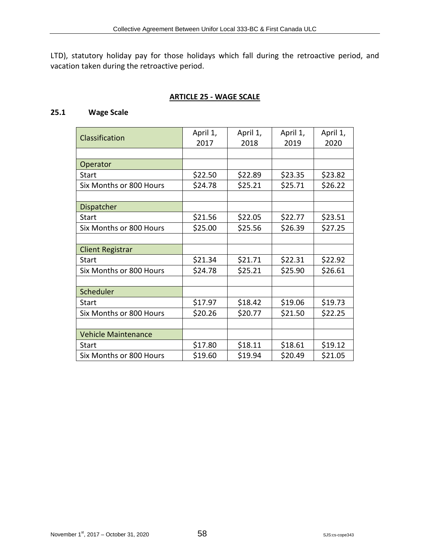LTD), statutory holiday pay for those holidays which fall during the retroactive period, and vacation taken during the retroactive period.

## **ARTICLE 25 - WAGE SCALE**

## **25.1 Wage Scale**

| Classification             | April 1,<br>2017 | April 1,<br>2018 | April 1,<br>2019 | April 1,<br>2020 |
|----------------------------|------------------|------------------|------------------|------------------|
|                            |                  |                  |                  |                  |
| Operator                   |                  |                  |                  |                  |
| Start                      | \$22.50          | \$22.89          | \$23.35          | \$23.82          |
| Six Months or 800 Hours    | \$24.78          | \$25.21          | \$25.71          | \$26.22          |
|                            |                  |                  |                  |                  |
| Dispatcher                 |                  |                  |                  |                  |
| Start                      | \$21.56          | \$22.05          | \$22.77          | \$23.51          |
| Six Months or 800 Hours    | \$25.00          | \$25.56          | \$26.39          | \$27.25          |
|                            |                  |                  |                  |                  |
| <b>Client Registrar</b>    |                  |                  |                  |                  |
| Start                      | \$21.34          | \$21.71          | \$22.31          | \$22.92          |
| Six Months or 800 Hours    | \$24.78          | \$25.21          | \$25.90          | \$26.61          |
|                            |                  |                  |                  |                  |
| Scheduler                  |                  |                  |                  |                  |
| Start                      | \$17.97          | \$18.42          | \$19.06          | \$19.73          |
| Six Months or 800 Hours    | \$20.26          | \$20.77          | \$21.50          | \$22.25          |
|                            |                  |                  |                  |                  |
| <b>Vehicle Maintenance</b> |                  |                  |                  |                  |
| Start                      | \$17.80          | \$18.11          | \$18.61          | \$19.12          |
| Six Months or 800 Hours    | \$19.60          | \$19.94          | \$20.49          | \$21.05          |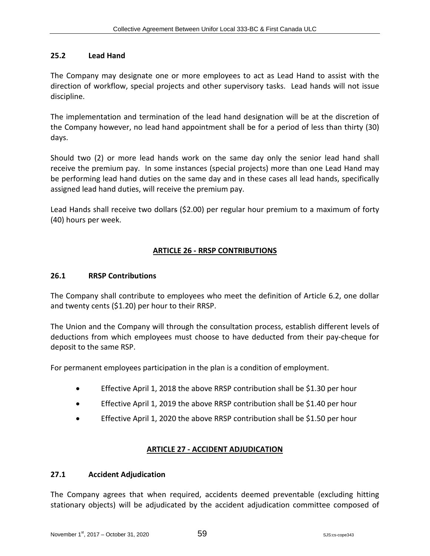#### **25.2 Lead Hand**

The Company may designate one or more employees to act as Lead Hand to assist with the direction of workflow, special projects and other supervisory tasks. Lead hands will not issue discipline.

The implementation and termination of the lead hand designation will be at the discretion of the Company however, no lead hand appointment shall be for a period of less than thirty (30) days.

Should two (2) or more lead hands work on the same day only the senior lead hand shall receive the premium pay. In some instances (special projects) more than one Lead Hand may be performing lead hand duties on the same day and in these cases all lead hands, specifically assigned lead hand duties, will receive the premium pay.

Lead Hands shall receive two dollars (\$2.00) per regular hour premium to a maximum of forty (40) hours per week.

## **ARTICLE 26 - RRSP CONTRIBUTIONS**

#### **26.1 RRSP Contributions**

The Company shall contribute to employees who meet the definition of Article 6.2, one dollar and twenty cents (\$1.20) per hour to their RRSP.

The Union and the Company will through the consultation process, establish different levels of deductions from which employees must choose to have deducted from their pay-cheque for deposit to the same RSP.

For permanent employees participation in the plan is a condition of employment.

- Effective April 1, 2018 the above RRSP contribution shall be \$1.30 per hour
- Effective April 1, 2019 the above RRSP contribution shall be \$1.40 per hour
- Effective April 1, 2020 the above RRSP contribution shall be \$1.50 per hour

## **ARTICLE 27 - ACCIDENT ADJUDICATION**

#### **27.1 Accident Adjudication**

The Company agrees that when required, accidents deemed preventable (excluding hitting stationary objects) will be adjudicated by the accident adjudication committee composed of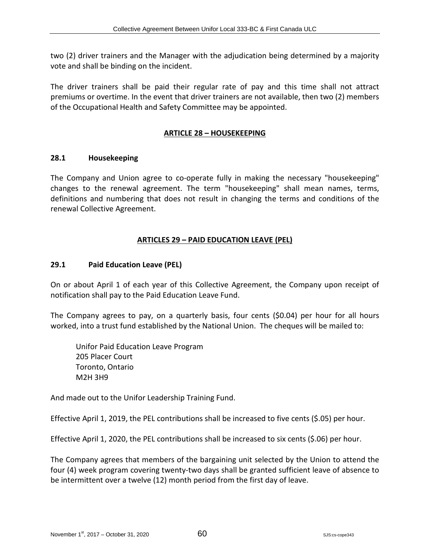two (2) driver trainers and the Manager with the adjudication being determined by a majority vote and shall be binding on the incident.

The driver trainers shall be paid their regular rate of pay and this time shall not attract premiums or overtime. In the event that driver trainers are not available, then two (2) members of the Occupational Health and Safety Committee may be appointed.

# **ARTICLE 28 – HOUSEKEEPING**

## **28.1 Housekeeping**

The Company and Union agree to co-operate fully in making the necessary "housekeeping" changes to the renewal agreement. The term "housekeeping" shall mean names, terms, definitions and numbering that does not result in changing the terms and conditions of the renewal Collective Agreement.

# **ARTICLES 29 – PAID EDUCATION LEAVE (PEL)**

# **29.1 Paid Education Leave (PEL)**

On or about April 1 of each year of this Collective Agreement, the Company upon receipt of notification shall pay to the Paid Education Leave Fund.

The Company agrees to pay, on a quarterly basis, four cents (\$0.04) per hour for all hours worked, into a trust fund established by the National Union. The cheques will be mailed to:

Unifor Paid Education Leave Program 205 Placer Court Toronto, Ontario M2H 3H9

And made out to the Unifor Leadership Training Fund.

Effective April 1, 2019, the PEL contributions shall be increased to five cents (\$.05) per hour.

Effective April 1, 2020, the PEL contributions shall be increased to six cents (\$.06) per hour.

The Company agrees that members of the bargaining unit selected by the Union to attend the four (4) week program covering twenty-two days shall be granted sufficient leave of absence to be intermittent over a twelve (12) month period from the first day of leave.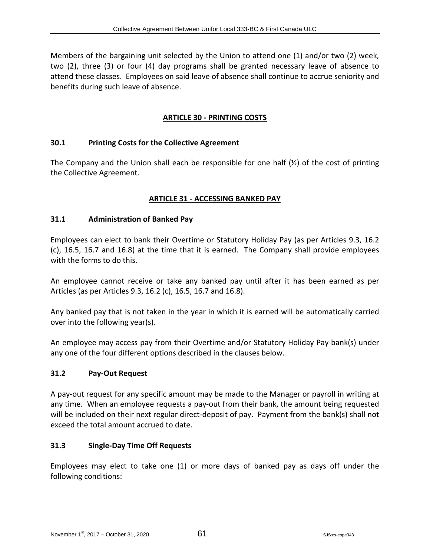Members of the bargaining unit selected by the Union to attend one (1) and/or two (2) week, two (2), three (3) or four (4) day programs shall be granted necessary leave of absence to attend these classes. Employees on said leave of absence shall continue to accrue seniority and benefits during such leave of absence.

# **ARTICLE 30 - PRINTING COSTS**

#### **30.1 Printing Costs for the Collective Agreement**

The Company and the Union shall each be responsible for one half  $(\frac{1}{2})$  of the cost of printing the Collective Agreement.

## **ARTICLE 31 - ACCESSING BANKED PAY**

#### **31.1 Administration of Banked Pay**

Employees can elect to bank their Overtime or Statutory Holiday Pay (as per Articles 9.3, 16.2 (c), 16.5, 16.7 and 16.8) at the time that it is earned. The Company shall provide employees with the forms to do this.

An employee cannot receive or take any banked pay until after it has been earned as per Articles (as per Articles 9.3, 16.2 (c), 16.5, 16.7 and 16.8).

Any banked pay that is not taken in the year in which it is earned will be automatically carried over into the following year(s).

An employee may access pay from their Overtime and/or Statutory Holiday Pay bank(s) under any one of the four different options described in the clauses below.

#### **31.2 Pay-Out Request**

A pay-out request for any specific amount may be made to the Manager or payroll in writing at any time. When an employee requests a pay-out from their bank, the amount being requested will be included on their next regular direct-deposit of pay. Payment from the bank(s) shall not exceed the total amount accrued to date.

#### **31.3 Single-Day Time Off Requests**

Employees may elect to take one (1) or more days of banked pay as days off under the following conditions: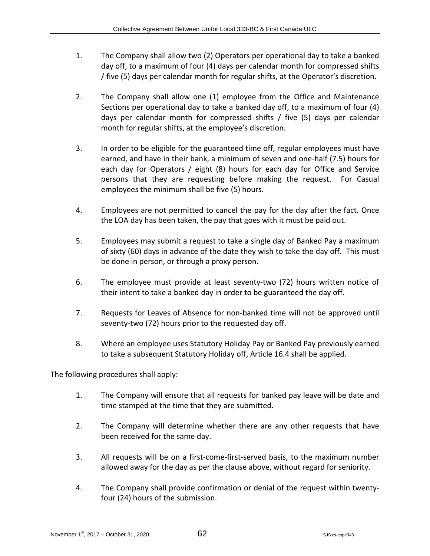- 1. The Company shall allow two (2) Operators per operational day to take a banked day off, to a maximum of four (4) days per calendar month for compressed shifts / five (5) days per calendar month for regular shifts, at the Operator's discretion.
- 2. The Company shall allow one (1) employee from the Office and Maintenance Sections per operational day to take a banked day off, to a maximum of four (4) days per calendar month for compressed shifts / five (5) days per calendar month for regular shifts, at the employee's discretion.
- 3. In order to be eligible for the guaranteed time off, regular employees must have earned, and have in their bank, a minimum of seven and one-half (7.5) hours for each day for Operators / eight (8) hours for each day for Office and Service persons that they are requesting before making the request. For Casual employees the minimum shall be five (5) hours.
- 4. Employees are not permitted to cancel the pay for the day after the fact. Once the LOA day has been taken, the pay that goes with it must be paid out.
- 5. Employees may submit a request to take a single day of Banked Pay a maximum of sixty (60) days in advance of the date they wish to take the day off. This must be done in person, or through a proxy person.
- 6. The employee must provide at least seventy-two (72) hours written notice of their intent to take a banked day in order to be guaranteed the day off.
- 7. Requests for Leaves of Absence for non-banked time will not be approved until seventy-two (72) hours prior to the requested day off.
- 8. Where an employee uses Statutory Holiday Pay or Banked Pay previously earned to take a subsequent Statutory Holiday off, Article 16.4 shall be applied.

The following procedures shall apply:

- 1. The Company will ensure that all requests for banked pay leave will be date and time stamped at the time that they are submitted.
- 2. The Company will determine whether there are any other requests that have been received for the same day.
- 3. All requests will be on a first-come-first-served basis, to the maximum number allowed away for the day as per the clause above, without regard for seniority.
- 4. The Company shall provide confirmation or denial of the request within twentyfour (24) hours of the submission.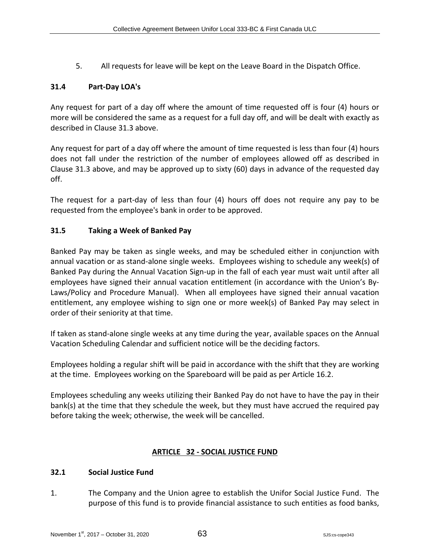5. All requests for leave will be kept on the Leave Board in the Dispatch Office.

# **31.4 Part-Day LOA's**

Any request for part of a day off where the amount of time requested off is four (4) hours or more will be considered the same as a request for a full day off, and will be dealt with exactly as described in Clause 31.3 above.

Any request for part of a day off where the amount of time requested is less than four (4) hours does not fall under the restriction of the number of employees allowed off as described in Clause 31.3 above, and may be approved up to sixty (60) days in advance of the requested day off.

The request for a part-day of less than four (4) hours off does not require any pay to be requested from the employee's bank in order to be approved.

## **31.5 Taking a Week of Banked Pay**

Banked Pay may be taken as single weeks, and may be scheduled either in conjunction with annual vacation or as stand-alone single weeks. Employees wishing to schedule any week(s) of Banked Pay during the Annual Vacation Sign-up in the fall of each year must wait until after all employees have signed their annual vacation entitlement (in accordance with the Union's By-Laws/Policy and Procedure Manual). When all employees have signed their annual vacation entitlement, any employee wishing to sign one or more week(s) of Banked Pay may select in order of their seniority at that time.

If taken as stand-alone single weeks at any time during the year, available spaces on the Annual Vacation Scheduling Calendar and sufficient notice will be the deciding factors.

Employees holding a regular shift will be paid in accordance with the shift that they are working at the time. Employees working on the Spareboard will be paid as per Article 16.2.

Employees scheduling any weeks utilizing their Banked Pay do not have to have the pay in their bank(s) at the time that they schedule the week, but they must have accrued the required pay before taking the week; otherwise, the week will be cancelled.

## **ARTICLE 32 - SOCIAL JUSTICE FUND**

#### **32.1 Social Justice Fund**

1. The Company and the Union agree to establish the Unifor Social Justice Fund. The purpose of this fund is to provide financial assistance to such entities as food banks,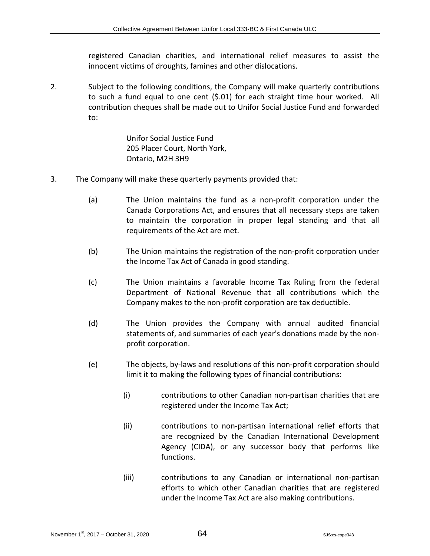registered Canadian charities, and international relief measures to assist the innocent victims of droughts, famines and other dislocations.

2. Subject to the following conditions, the Company will make quarterly contributions to such a fund equal to one cent (\$.01) for each straight time hour worked. All contribution cheques shall be made out to Unifor Social Justice Fund and forwarded to:

> Unifor Social Justice Fund 205 Placer Court, North York, Ontario, M2H 3H9

- 3. The Company will make these quarterly payments provided that:
	- (a) The Union maintains the fund as a non-profit corporation under the Canada Corporations Act, and ensures that all necessary steps are taken to maintain the corporation in proper legal standing and that all requirements of the Act are met.
	- (b) The Union maintains the registration of the non-profit corporation under the Income Tax Act of Canada in good standing.
	- (c) The Union maintains a favorable Income Tax Ruling from the federal Department of National Revenue that all contributions which the Company makes to the non-profit corporation are tax deductible.
	- (d) The Union provides the Company with annual audited financial statements of, and summaries of each year's donations made by the nonprofit corporation.
	- (e) The objects, by-laws and resolutions of this non-profit corporation should limit it to making the following types of financial contributions:
		- (i) contributions to other Canadian non-partisan charities that are registered under the Income Tax Act;
		- (ii) contributions to non-partisan international relief efforts that are recognized by the Canadian International Development Agency (CIDA), or any successor body that performs like functions.
		- (iii) contributions to any Canadian or international non-partisan efforts to which other Canadian charities that are registered under the Income Tax Act are also making contributions.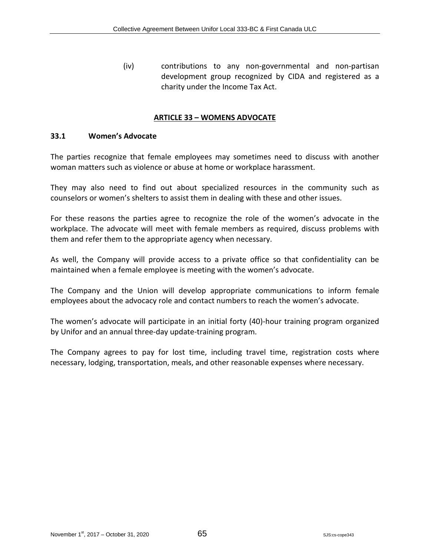(iv) contributions to any non-governmental and non-partisan development group recognized by CIDA and registered as a charity under the Income Tax Act.

#### **ARTICLE 33 – WOMENS ADVOCATE**

#### **33.1 Women's Advocate**

The parties recognize that female employees may sometimes need to discuss with another woman matters such as violence or abuse at home or workplace harassment.

They may also need to find out about specialized resources in the community such as counselors or women's shelters to assist them in dealing with these and other issues.

For these reasons the parties agree to recognize the role of the women's advocate in the workplace. The advocate will meet with female members as required, discuss problems with them and refer them to the appropriate agency when necessary.

As well, the Company will provide access to a private office so that confidentiality can be maintained when a female employee is meeting with the women's advocate.

The Company and the Union will develop appropriate communications to inform female employees about the advocacy role and contact numbers to reach the women's advocate.

The women's advocate will participate in an initial forty (40)-hour training program organized by Unifor and an annual three-day update-training program.

The Company agrees to pay for lost time, including travel time, registration costs where necessary, lodging, transportation, meals, and other reasonable expenses where necessary.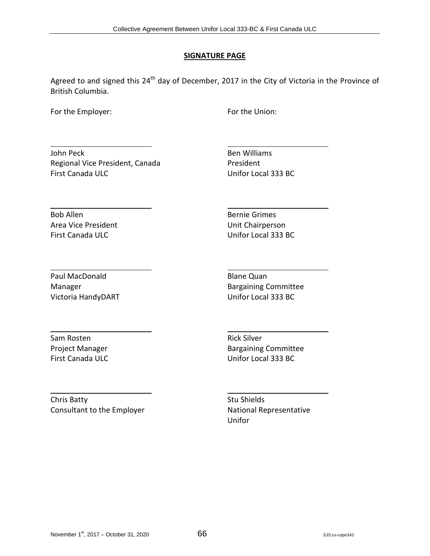## **SIGNATURE PAGE**

Agreed to and signed this  $24<sup>th</sup>$  day of December, 2017 in the City of Victoria in the Province of British Columbia.

For the Employer: The Employer: For the Union:

John Peck **Ben Williams** Regional Vice President, Canada President First Canada ULC **Unifor Local 333 BC** 

Bob Allen Bernie Grimes Area Vice President National Chairperson

First Canada ULC **No. 1998** Unifor Local 333 BC

Paul MacDonald **Blane Quan** Victoria HandyDART Unifor Local 333 BC

Manager **Bargaining Committee** 

Sam Rosten **Rick Silver** Rick Silver

Project Manager **Bargaining Committee** First Canada ULC **Unifor Local 333 BC** 

Chris Batty **Stu Shields** Stu Shields Consultant to the Employer **National Representative** 

Unifor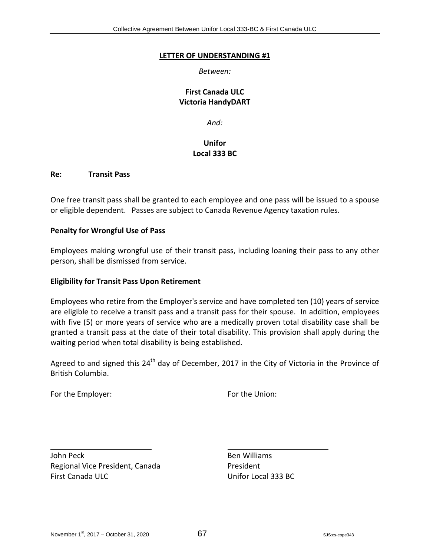### **LETTER OF UNDERSTANDING #1**

*Between:*

## **First Canada ULC Victoria HandyDART**

*And:*

# **Unifor Local 333 BC**

#### **Re: Transit Pass**

One free transit pass shall be granted to each employee and one pass will be issued to a spouse or eligible dependent. Passes are subject to Canada Revenue Agency taxation rules.

### **Penalty for Wrongful Use of Pass**

Employees making wrongful use of their transit pass, including loaning their pass to any other person, shall be dismissed from service.

### **Eligibility for Transit Pass Upon Retirement**

Employees who retire from the Employer's service and have completed ten (10) years of service are eligible to receive a transit pass and a transit pass for their spouse. In addition, employees with five (5) or more years of service who are a medically proven total disability case shall be granted a transit pass at the date of their total disability. This provision shall apply during the waiting period when total disability is being established.

Agreed to and signed this  $24<sup>th</sup>$  day of December, 2017 in the City of Victoria in the Province of British Columbia.

For the Employer: The Union: For the Union:

John Peck **Ben Williams** Regional Vice President, Canada President First Canada ULC Unifor Local 333 BC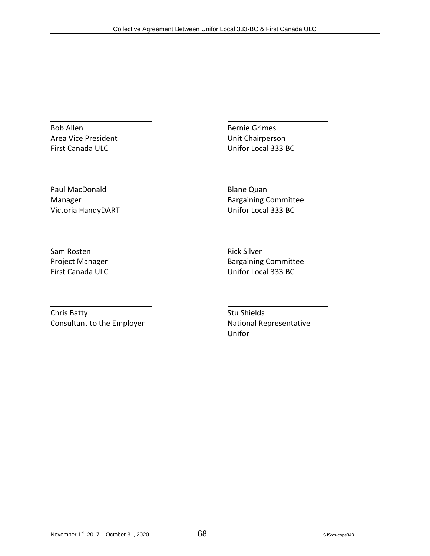Bob Allen Bernie Grimes Area Vice President National Chairperson First Canada ULC **Unifor Local 333 BC** 

Paul MacDonald **Blane Quan** Victoria HandyDART Unifor Local 333 BC

Manager **Bargaining Committee** 

Sam Rosten **Rick Silver** Rick Silver

Project Manager **Bargaining Committee** First Canada ULC **Unifor Local 333 BC** 

Chris Batty **Stu Shields** Stu Shields Consultant to the Employer **National Representative** 

Unifor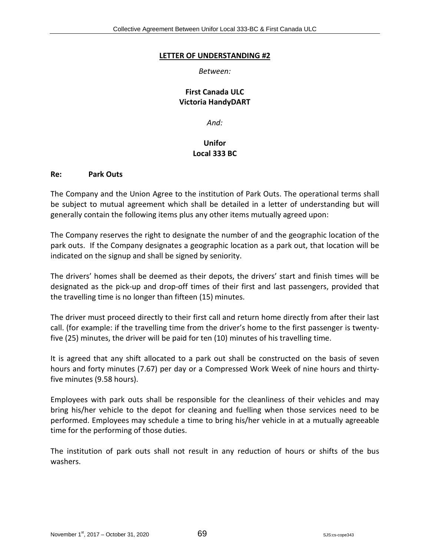### **LETTER OF UNDERSTANDING #2**

## *Between:*

## **First Canada ULC Victoria HandyDART**

*And:*

# **Unifor Local 333 BC**

### **Re: Park Outs**

The Company and the Union Agree to the institution of Park Outs. The operational terms shall be subject to mutual agreement which shall be detailed in a letter of understanding but will generally contain the following items plus any other items mutually agreed upon:

The Company reserves the right to designate the number of and the geographic location of the park outs. If the Company designates a geographic location as a park out, that location will be indicated on the signup and shall be signed by seniority.

The drivers' homes shall be deemed as their depots, the drivers' start and finish times will be designated as the pick-up and drop-off times of their first and last passengers, provided that the travelling time is no longer than fifteen (15) minutes.

The driver must proceed directly to their first call and return home directly from after their last call. (for example: if the travelling time from the driver's home to the first passenger is twentyfive (25) minutes, the driver will be paid for ten (10) minutes of his travelling time.

It is agreed that any shift allocated to a park out shall be constructed on the basis of seven hours and forty minutes (7.67) per day or a Compressed Work Week of nine hours and thirtyfive minutes (9.58 hours).

Employees with park outs shall be responsible for the cleanliness of their vehicles and may bring his/her vehicle to the depot for cleaning and fuelling when those services need to be performed. Employees may schedule a time to bring his/her vehicle in at a mutually agreeable time for the performing of those duties.

The institution of park outs shall not result in any reduction of hours or shifts of the bus washers.